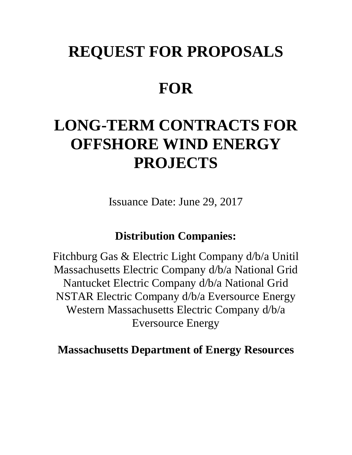# **REQUEST FOR PROPOSALS**

## **FOR**

# **LONG-TERM CONTRACTS FOR OFFSHORE WIND ENERGY PROJECTS**

Issuance Date: June 29, 2017

### **Distribution Companies:**

Fitchburg Gas & Electric Light Company d/b/a Unitil Massachusetts Electric Company d/b/a National Grid Nantucket Electric Company d/b/a National Grid NSTAR Electric Company d/b/a Eversource Energy Western Massachusetts Electric Company d/b/a Eversource Energy

**Massachusetts Department of Energy Resources**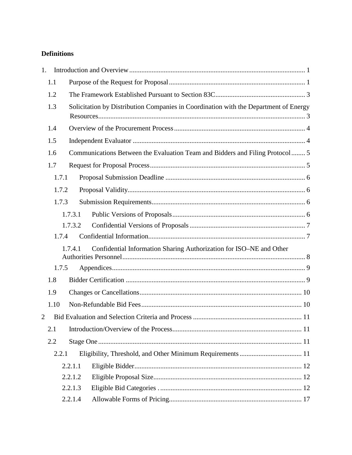#### **Definitions**

| 1.             |       |                                                                                      |  |
|----------------|-------|--------------------------------------------------------------------------------------|--|
|                | 1.1   |                                                                                      |  |
|                | 1.2   |                                                                                      |  |
|                | 1.3   | Solicitation by Distribution Companies in Coordination with the Department of Energy |  |
|                | 1.4   |                                                                                      |  |
|                | 1.5   |                                                                                      |  |
|                | 1.6   | Communications Between the Evaluation Team and Bidders and Filing Protocol 5         |  |
|                | 1.7   |                                                                                      |  |
|                | 1.7.1 |                                                                                      |  |
|                | 1.7.2 |                                                                                      |  |
|                | 1.7.3 |                                                                                      |  |
|                |       | 1.7.3.1                                                                              |  |
|                |       | 1.7.3.2                                                                              |  |
|                | 1.7.4 |                                                                                      |  |
|                |       | Confidential Information Sharing Authorization for ISO-NE and Other<br>1.7.4.1       |  |
|                |       |                                                                                      |  |
|                | 1.7.5 |                                                                                      |  |
|                | 1.8   |                                                                                      |  |
|                | 1.9   |                                                                                      |  |
|                | 1.10  |                                                                                      |  |
| $\overline{2}$ |       |                                                                                      |  |
|                | 2.1   |                                                                                      |  |
|                | 2.2   |                                                                                      |  |
|                | 2.2.1 |                                                                                      |  |
|                |       | 2.2.1.1                                                                              |  |
|                |       | 2.2.1.2                                                                              |  |
|                |       | 2.2.1.3                                                                              |  |
|                |       | 2.2.1.4                                                                              |  |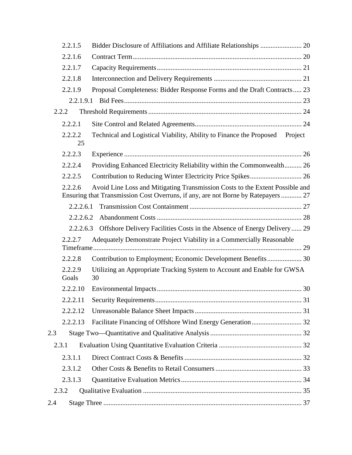| 2.2.1.5          |                                                                                                                                                                   |  |
|------------------|-------------------------------------------------------------------------------------------------------------------------------------------------------------------|--|
| 2.2.1.6          |                                                                                                                                                                   |  |
| 2.2.1.7          |                                                                                                                                                                   |  |
| 2.2.1.8          |                                                                                                                                                                   |  |
| 2.2.1.9          | Proposal Completeness: Bidder Response Forms and the Draft Contracts 23                                                                                           |  |
| 2.2.1.9.1        |                                                                                                                                                                   |  |
| 2.2.2            |                                                                                                                                                                   |  |
| 2.2.2.1          |                                                                                                                                                                   |  |
| 2.2.2.2<br>25    | Technical and Logistical Viability, Ability to Finance the Proposed Project                                                                                       |  |
| 2.2.2.3          |                                                                                                                                                                   |  |
| 2.2.2.4          | Providing Enhanced Electricity Reliability within the Commonwealth 26                                                                                             |  |
| 2.2.2.5          |                                                                                                                                                                   |  |
| 2.2.2.6          | Avoid Line Loss and Mitigating Transmission Costs to the Extent Possible and<br>Ensuring that Transmission Cost Overruns, if any, are not Borne by Ratepayers  27 |  |
| 2.2.2.6.1        |                                                                                                                                                                   |  |
| 2.2.2.6.2        |                                                                                                                                                                   |  |
| 2.2.2.6.3        | Offshore Delivery Facilities Costs in the Absence of Energy Delivery 29                                                                                           |  |
| 2.2.2.7          | Adequately Demonstrate Project Viability in a Commercially Reasonable                                                                                             |  |
|                  |                                                                                                                                                                   |  |
| 2.2.2.8          | Contribution to Employment; Economic Development Benefits 30                                                                                                      |  |
| 2.2.2.9<br>Goals | Utilizing an Appropriate Tracking System to Account and Enable for GWSA<br>30                                                                                     |  |
| 2.2.2.10         |                                                                                                                                                                   |  |
| 2.2.2.11         |                                                                                                                                                                   |  |
| 2.2.2.12         |                                                                                                                                                                   |  |
| 2.2.2.13         | Facilitate Financing of Offshore Wind Energy Generation  32                                                                                                       |  |
| 2.3              |                                                                                                                                                                   |  |
| 2.3.1            |                                                                                                                                                                   |  |
| 2.3.1.1          |                                                                                                                                                                   |  |
| 2.3.1.2          |                                                                                                                                                                   |  |
| 2.3.1.3          |                                                                                                                                                                   |  |
| 2.3.2            |                                                                                                                                                                   |  |
| 2.4              |                                                                                                                                                                   |  |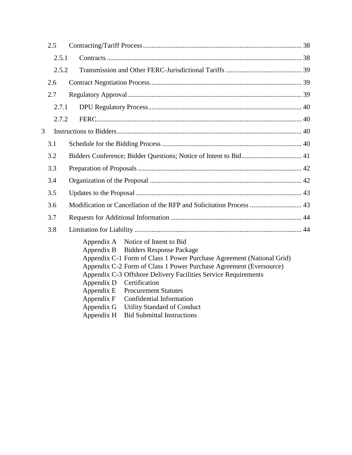|                | 2.5   |                                                                                                                                                                                                                                                                                                                                                                                                                                                                                                                                      |  |
|----------------|-------|--------------------------------------------------------------------------------------------------------------------------------------------------------------------------------------------------------------------------------------------------------------------------------------------------------------------------------------------------------------------------------------------------------------------------------------------------------------------------------------------------------------------------------------|--|
|                | 2.5.1 |                                                                                                                                                                                                                                                                                                                                                                                                                                                                                                                                      |  |
|                | 2.5.2 |                                                                                                                                                                                                                                                                                                                                                                                                                                                                                                                                      |  |
|                | 2.6   |                                                                                                                                                                                                                                                                                                                                                                                                                                                                                                                                      |  |
|                | 2.7   |                                                                                                                                                                                                                                                                                                                                                                                                                                                                                                                                      |  |
|                | 2.7.1 |                                                                                                                                                                                                                                                                                                                                                                                                                                                                                                                                      |  |
|                | 2.7.2 |                                                                                                                                                                                                                                                                                                                                                                                                                                                                                                                                      |  |
| $\overline{3}$ |       |                                                                                                                                                                                                                                                                                                                                                                                                                                                                                                                                      |  |
|                | 3.1   |                                                                                                                                                                                                                                                                                                                                                                                                                                                                                                                                      |  |
|                | 3.2   |                                                                                                                                                                                                                                                                                                                                                                                                                                                                                                                                      |  |
|                | 3.3   |                                                                                                                                                                                                                                                                                                                                                                                                                                                                                                                                      |  |
|                | 3.4   |                                                                                                                                                                                                                                                                                                                                                                                                                                                                                                                                      |  |
|                |       |                                                                                                                                                                                                                                                                                                                                                                                                                                                                                                                                      |  |
|                | 3.5   |                                                                                                                                                                                                                                                                                                                                                                                                                                                                                                                                      |  |
|                | 3.6   | Modification or Cancellation of the RFP and Solicitation Process  43                                                                                                                                                                                                                                                                                                                                                                                                                                                                 |  |
|                | 3.7   |                                                                                                                                                                                                                                                                                                                                                                                                                                                                                                                                      |  |
|                | 3.8   |                                                                                                                                                                                                                                                                                                                                                                                                                                                                                                                                      |  |
|                |       | Notice of Intent to Bid<br>Appendix A<br><b>Bidders Response Package</b><br>Appendix B<br>Appendix C-1 Form of Class 1 Power Purchase Agreement (National Grid)<br>Appendix C-2 Form of Class 1 Power Purchase Agreement (Eversource)<br>Appendix C-3 Offshore Delivery Facilities Service Requirements<br>Certification<br>Appendix D<br>Appendix E<br><b>Procurement Statutes</b><br>Appendix F<br>Confidential Information<br>Appendix G<br><b>Utility Standard of Conduct</b><br><b>Bid Submittal Instructions</b><br>Appendix H |  |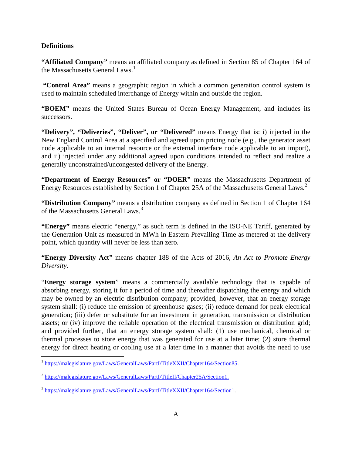#### **Definitions**

**"Affiliated Company"** means an affiliated company as defined in Section 85 of Chapter 164 of the Massachusetts General Laws.<sup>[1](#page-4-0)</sup>

**"Control Area"** means a geographic region in which a common generation control system is used to maintain scheduled interchange of Energy within and outside the region.

**"BOEM"** means the United States Bureau of Ocean Energy Management, and includes its successors.

**"Delivery", "Deliveries", "Deliver", or "Delivered"** means Energy that is: i) injected in the New England Control Area at a specified and agreed upon pricing node (e.g., the generator asset node applicable to an internal resource or the external interface node applicable to an import), and ii) injected under any additional agreed upon conditions intended to reflect and realize a generally unconstrained/uncongested delivery of the Energy.

**"Department of Energy Resources" or "DOER"** means the Massachusetts Department of Energy Resources established by Section 1 of Chapter [2](#page-4-1)5A of the Massachusetts General Laws.<sup>2</sup>

**"Distribution Company"** means a distribution company as defined in Section 1 of Chapter 164 of the Massachusetts General Laws.<sup>[3](#page-4-2)</sup>

**"Energy"** means electric "energy," as such term is defined in the ISO-NE Tariff, generated by the Generation Unit as measured in MWh in Eastern Prevailing Time as metered at the delivery point, which quantity will never be less than zero.

**"Energy Diversity Act"** means chapter 188 of the Acts of 2016, *An Act to Promote Energy Diversity.*

"**Energy storage system**" means a commercially available technology that is capable of absorbing energy, storing it for a period of time and thereafter dispatching the energy and which may be owned by an electric distribution company; provided, however, that an energy storage system shall: (i) reduce the emission of greenhouse gases; (ii) reduce demand for peak electrical generation; (iii) defer or substitute for an investment in generation, transmission or distribution assets; or (iv) improve the reliable operation of the electrical transmission or distribution grid; and provided further, that an energy storage system shall: (1) use mechanical, chemical or thermal processes to store energy that was generated for use at a later time; (2) store thermal energy for direct heating or cooling use at a later time in a manner that avoids the need to use

<span id="page-4-0"></span><sup>&</sup>lt;sup>1</sup> [https://malegislature.gov/Laws/GeneralLaws/PartI/TitleXXII/Chapter164/Section85.](https://malegislature.gov/Laws/GeneralLaws/PartI/TitleXXII/Chapter164/Section85)

<span id="page-4-1"></span><sup>2</sup> [https://malegislature.gov/Laws/GeneralLaws/PartI/TitleII/Chapter25A/Section1.](https://malegislature.gov/Laws/GeneralLaws/PartI/TitleII/Chapter25A/Section1)

<span id="page-4-2"></span><sup>&</sup>lt;sup>3</sup> [https://malegislature.gov/Laws/GeneralLaws/PartI/TitleXXII/Chapter164/Section1.](https://malegislature.gov/Laws/GeneralLaws/PartI/TitleXXII/Chapter164/Section1)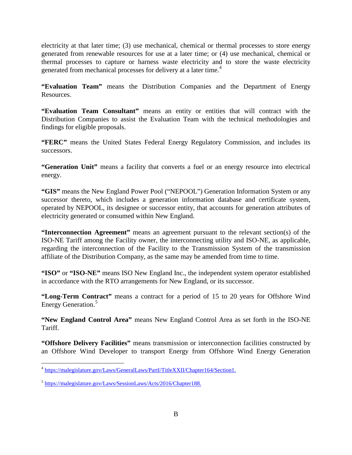electricity at that later time; (3) use mechanical, chemical or thermal processes to store energy generated from renewable resources for use at a later time; or (4) use mechanical, chemical or thermal processes to capture or harness waste electricity and to store the waste electricity generated from mechanical processes for delivery at a later time.<sup>[4](#page-5-0)</sup>

**"Evaluation Team"** means the Distribution Companies and the Department of Energy Resources.

**"Evaluation Team Consultant"** means an entity or entities that will contract with the Distribution Companies to assist the Evaluation Team with the technical methodologies and findings for eligible proposals.

**"FERC"** means the United States Federal Energy Regulatory Commission, and includes its successors.

**"Generation Unit"** means a facility that converts a fuel or an energy resource into electrical energy.

**"GIS"** means the New England Power Pool ("NEPOOL") Generation Information System or any successor thereto, which includes a generation information database and certificate system, operated by NEPOOL, its designee or successor entity, that accounts for generation attributes of electricity generated or consumed within New England.

**"Interconnection Agreement"** means an agreement pursuant to the relevant section(s) of the ISO-NE Tariff among the Facility owner, the interconnecting utility and ISO-NE, as applicable, regarding the interconnection of the Facility to the Transmission System of the transmission affiliate of the Distribution Company, as the same may be amended from time to time.

**"ISO"** or **"ISO-NE"** means ISO New England Inc., the independent system operator established in accordance with the RTO arrangements for New England, or its successor.

**"Long-Term Contract"** means a contract for a period of 15 to 20 years for Offshore Wind Energy Generation.<sup>[5](#page-5-1)</sup>

**"New England Control Area"** means New England Control Area as set forth in the ISO-NE Tariff.

**"Offshore Delivery Facilities"** means transmission or interconnection facilities constructed by an Offshore Wind Developer to transport Energy from Offshore Wind Energy Generation

<span id="page-5-0"></span> <sup>4</sup> [https://malegislature.gov/Laws/GeneralLaws/PartI/TitleXXII/Chapter164/Section1.](https://malegislature.gov/Laws/GeneralLaws/PartI/TitleXXII/Chapter164/Section1)

<span id="page-5-1"></span><sup>5</sup> [https://malegislature.gov/Laws/SessionLaws/Acts/2016/Chapter188.](https://malegislature.gov/Laws/SessionLaws/Acts/2016/Chapter188)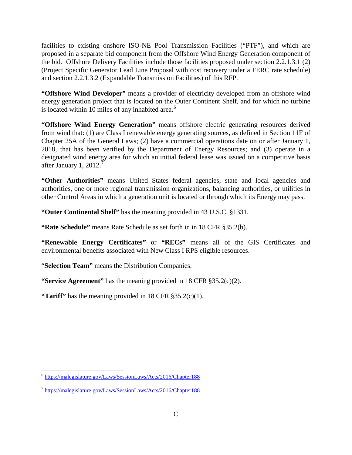facilities to existing onshore ISO-NE Pool Transmission Facilities ("PTF"), and which are proposed in a separate bid component from the Offshore Wind Energy Generation component of the bid. Offshore Delivery Facilities include those facilities proposed under section 2.2.1.3.1 (2) (Project Specific Generator Lead Line Proposal with cost recovery under a FERC rate schedule) and section 2.2.1.3.2 (Expandable Transmission Facilities) of this RFP.

**"Offshore Wind Developer"** means a provider of electricity developed from an offshore wind energy generation project that is located on the Outer Continent Shelf, and for which no turbine is located within 10 miles of any inhabited area. $6$ 

**"Offshore Wind Energy Generation"** means offshore electric generating resources derived from wind that: (1) are Class I renewable energy generating sources, as defined in Section 11F of Chapter 25A of the General Laws; (2) have a commercial operations date on or after January 1, 2018, that has been verified by the Department of Energy Resources; and (3) operate in a designated wind energy area for which an initial federal lease was issued on a competitive basis after January 1, 2012.<sup>[7](#page-6-1)</sup>

**"Other Authorities"** means United States federal agencies, state and local agencies and authorities, one or more regional transmission organizations, balancing authorities, or utilities in other Control Areas in which a generation unit is located or through which its Energy may pass.

**"Outer Continental Shelf"** has the meaning provided in 43 U.S.C. §1331.

**"Rate Schedule"** means Rate Schedule as set forth in in 18 CFR §35.2(b).

**"Renewable Energy Certificates"** or **"RECs"** means all of the GIS Certificates and environmental benefits associated with New Class I RPS eligible resources.

"**Selection Team"** means the Distribution Companies.

**"Service Agreement"** has the meaning provided in 18 CFR §35.2(c)(2).

**"Tariff"** has the meaning provided in 18 CFR §35.2(c)(1).

<span id="page-6-0"></span> <sup>6</sup> <https://malegislature.gov/Laws/SessionLaws/Acts/2016/Chapter188>

<span id="page-6-1"></span><sup>7</sup> <https://malegislature.gov/Laws/SessionLaws/Acts/2016/Chapter188>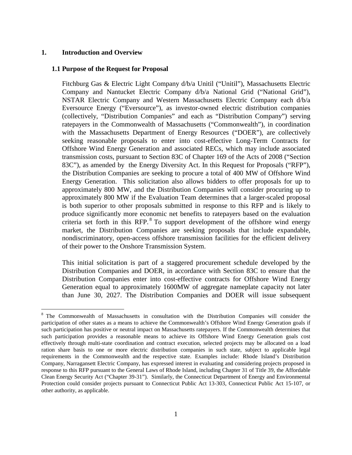#### <span id="page-7-0"></span>**1. Introduction and Overview**

#### <span id="page-7-1"></span>**1.1 Purpose of the Request for Proposal**

Fitchburg Gas & Electric Light Company d/b/a Unitil ("Unitil"), Massachusetts Electric Company and Nantucket Electric Company d/b/a National Grid ("National Grid"), NSTAR Electric Company and Western Massachusetts Electric Company each d/b/a Eversource Energy ("Eversource"), as investor-owned electric distribution companies (collectively, "Distribution Companies" and each as "Distribution Company") serving ratepayers in the Commonwealth of Massachusetts ("Commonwealth"), in coordination with the Massachusetts Department of Energy Resources ("DOER"), are collectively seeking reasonable proposals to enter into cost-effective Long-Term Contracts for Offshore Wind Energy Generation and associated RECs, which may include associated transmission costs, pursuant to Section 83C of Chapter 169 of the Acts of 2008 ("Section 83C"), as amended by the Energy Diversity Act. In this Request for Proposals ("RFP"), the Distribution Companies are seeking to procure a total of 400 MW of Offshore Wind Energy Generation. This solicitation also allows bidders to offer proposals for up to approximately 800 MW, and the Distribution Companies will consider procuring up to approximately 800 MW if the Evaluation Team determines that a larger-scaled proposal is both superior to other proposals submitted in response to this RFP and is likely to produce significantly more economic net benefits to ratepayers based on the evaluation criteria set forth in this RFP.<sup>[8](#page-7-2)</sup> To support development of the offshore wind energy market, the Distribution Companies are seeking proposals that include expandable, nondiscriminatory, open-access offshore transmission facilities for the efficient delivery of their power to the Onshore Transmission System.

This initial solicitation is part of a staggered procurement schedule developed by the Distribution Companies and DOER, in accordance with Section 83C to ensure that the Distribution Companies enter into cost-effective contracts for Offshore Wind Energy Generation equal to approximately 1600MW of aggregate nameplate capacity not later than June 30, 2027. The Distribution Companies and DOER will issue subsequent

<span id="page-7-2"></span><sup>&</sup>lt;sup>8</sup> The Commonwealth of Massachusetts in consultation with the Distribution Companies will consider the participation of other states as a means to achieve the Commonwealth's Offshore Wind Energy Generation goals if such participation has positive or neutral impact on Massachusetts ratepayers. If the Commonwealth determines that such participation provides a reasonable means to achieve its Offshore Wind Energy Generation goals cost effectively through multi-state coordination and contract execution, selected projects may be allocated on a load ration share basis to one or more electric distribution companies in such state, subject to applicable legal requirements in the Commonwealth and the respective state. Examples include: Rhode Island's Distribution Company, Narragansett Electric Company, has expressed interest in evaluating and considering projects proposed in response to this RFP pursuant to the General Laws of Rhode Island, including Chapter 31 of Title 39, the Affordable Clean Energy Security Act ("Chapter 39-31"). Similarly, the Connecticut Department of Energy and Environmental Protection could consider projects pursuant to Connecticut Public Act 13-303, Connecticut Public Act 15-107, or other authority, as applicable.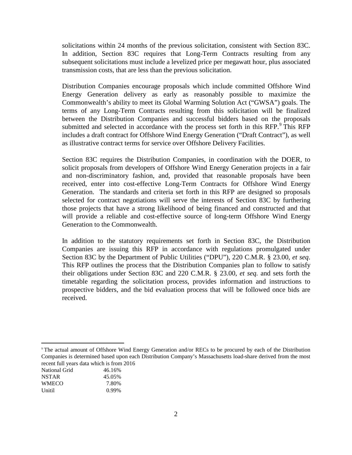solicitations within 24 months of the previous solicitation, consistent with Section 83C. In addition, Section 83C requires that Long-Term Contracts resulting from any subsequent solicitations must include a levelized price per megawatt hour, plus associated transmission costs, that are less than the previous solicitation.

Distribution Companies encourage proposals which include committed Offshore Wind Energy Generation delivery as early as reasonably possible to maximize the Commonwealth's ability to meet its Global Warming Solution Act ("GWSA") goals. The terms of any Long-Term Contracts resulting from this solicitation will be finalized between the Distribution Companies and successful bidders based on the proposals submitted and selected in accordance with the process set forth in this RFP.<sup>[9](#page-8-0)</sup> This RFP includes a draft contract for Offshore Wind Energy Generation ("Draft Contract"), as well as illustrative contract terms for service over Offshore Delivery Facilities.

Section 83C requires the Distribution Companies, in coordination with the DOER, to solicit proposals from developers of Offshore Wind Energy Generation projects in a fair and non-discriminatory fashion, and, provided that reasonable proposals have been received, enter into cost-effective Long-Term Contracts for Offshore Wind Energy Generation. The standards and criteria set forth in this RFP are designed so proposals selected for contract negotiations will serve the interests of Section 83C by furthering those projects that have a strong likelihood of being financed and constructed and that will provide a reliable and cost-effective source of long-term Offshore Wind Energy Generation to the Commonwealth.

In addition to the statutory requirements set forth in Section 83C, the Distribution Companies are issuing this RFP in accordance with regulations promulgated under Section 83C by the Department of Public Utilities ("DPU"), 220 C.M.R. § 23.00, *et seq*. This RFP outlines the process that the Distribution Companies plan to follow to satisfy their obligations under Section 83C and 220 C.M.R. § 23.00, *et seq.* and sets forth the timetable regarding the solicitation process, provides information and instructions to prospective bidders, and the bid evaluation process that will be followed once bids are received.

<span id="page-8-0"></span> 9 The actual amount of Offshore Wind Energy Generation and/or RECs to be procured by each of the Distribution Companies is determined based upon each Distribution Company's Massachusetts load-share derived from the most recent full years data which is from 2016

| 46.16% |
|--------|
| 45.05% |
| 7.80%  |
| 0.99%  |
|        |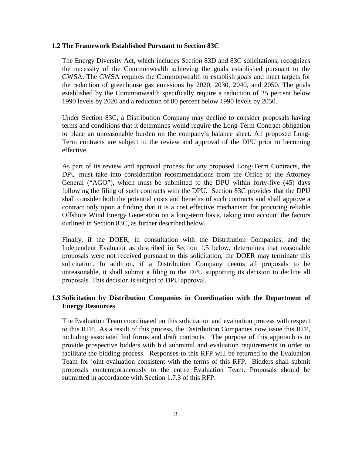#### <span id="page-9-0"></span>**1.2 The Framework Established Pursuant to Section 83C**

The Energy Diversity Act, which includes Section 83D and 83C solicitations, recognizes the necessity of the Commonwealth achieving the goals established pursuant to the GWSA. The GWSA requires the Commonwealth to establish goals and meet targets for the reduction of greenhouse gas emissions by 2020, 2030, 2040, and 2050. The goals established by the Commonwealth specifically require a reduction of 25 percent below 1990 levels by 2020 and a reduction of 80 percent below 1990 levels by 2050.

Under Section 83C, a Distribution Company may decline to consider proposals having terms and conditions that it determines would require the Long-Term Contract obligation to place an unreasonable burden on the company's balance sheet. All proposed Long-Term contracts are subject to the review and approval of the DPU prior to becoming effective.

As part of its review and approval process for any proposed Long-Term Contracts, the DPU must take into consideration recommendations from the Office of the Attorney General ("AGO"), which must be submitted to the DPU within forty-five (45) days following the filing of such contracts with the DPU. Section 83C provides that the DPU shall consider both the potential costs and benefits of such contracts and shall approve a contract only upon a finding that it is a cost effective mechanism for procuring reliable Offshore Wind Energy Generation on a long-term basis, taking into account the factors outlined in Section 83C, as further described below.

Finally, if the DOER, in consultation with the Distribution Companies, and the Independent Evaluator as described in Section 1.5 below, determines that reasonable proposals were not received pursuant to this solicitation, the DOER may terminate this solicitation. In addition, if a Distribution Company deems all proposals to be unreasonable, it shall submit a filing to the DPU supporting its decision to decline all proposals. This decision is subject to DPU approval.

#### <span id="page-9-1"></span>**1.3 Solicitation by Distribution Companies in Coordination with the Department of Energy Resources**

The Evaluation Team coordinated on this solicitation and evaluation process with respect to this RFP. As a result of this process, the Distribution Companies now issue this RFP, including associated bid forms and draft contracts. The purpose of this approach is to provide prospective bidders with bid submittal and evaluation requirements in order to facilitate the bidding process. Responses to this RFP will be returned to the Evaluation Team for joint evaluation consistent with the terms of this RFP. Bidders shall submit proposals contemporaneously to the entire Evaluation Team. Proposals should be submitted in accordance with Section 1.7.3 of this RFP.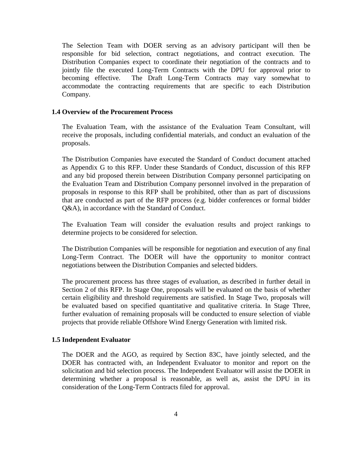The Selection Team with DOER serving as an advisory participant will then be responsible for bid selection, contract negotiations, and contract execution. The Distribution Companies expect to coordinate their negotiation of the contracts and to jointly file the executed Long-Term Contracts with the DPU for approval prior to becoming effective. The Draft Long-Term Contracts may vary somewhat to accommodate the contracting requirements that are specific to each Distribution Company.

#### <span id="page-10-0"></span>**1.4 Overview of the Procurement Process**

The Evaluation Team, with the assistance of the Evaluation Team Consultant, will receive the proposals, including confidential materials, and conduct an evaluation of the proposals.

The Distribution Companies have executed the Standard of Conduct document attached as Appendix G to this RFP. Under these Standards of Conduct, discussion of this RFP and any bid proposed therein between Distribution Company personnel participating on the Evaluation Team and Distribution Company personnel involved in the preparation of proposals in response to this RFP shall be prohibited, other than as part of discussions that are conducted as part of the RFP process (e.g. bidder conferences or formal bidder Q&A), in accordance with the Standard of Conduct.

The Evaluation Team will consider the evaluation results and project rankings to determine projects to be considered for selection.

The Distribution Companies will be responsible for negotiation and execution of any final Long-Term Contract. The DOER will have the opportunity to monitor contract negotiations between the Distribution Companies and selected bidders.

The procurement process has three stages of evaluation, as described in further detail in Section 2 of this RFP. In Stage One, proposals will be evaluated on the basis of whether certain eligibility and threshold requirements are satisfied. In Stage Two, proposals will be evaluated based on specified quantitative and qualitative criteria. In Stage Three, further evaluation of remaining proposals will be conducted to ensure selection of viable projects that provide reliable Offshore Wind Energy Generation with limited risk.

#### <span id="page-10-1"></span>**1.5 Independent Evaluator**

The DOER and the AGO, as required by Section 83C, have jointly selected, and the DOER has contracted with, an Independent Evaluator to monitor and report on the solicitation and bid selection process. The Independent Evaluator will assist the DOER in determining whether a proposal is reasonable, as well as, assist the DPU in its consideration of the Long-Term Contracts filed for approval.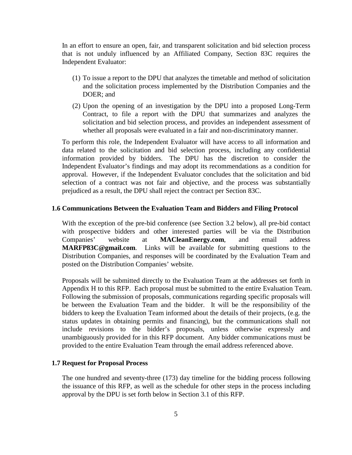In an effort to ensure an open, fair, and transparent solicitation and bid selection process that is not unduly influenced by an Affiliated Company, Section 83C requires the Independent Evaluator:

- (1) To issue a report to the DPU that analyzes the timetable and method of solicitation and the solicitation process implemented by the Distribution Companies and the DOER; and
- (2) Upon the opening of an investigation by the DPU into a proposed Long-Term Contract, to file a report with the DPU that summarizes and analyzes the solicitation and bid selection process, and provides an independent assessment of whether all proposals were evaluated in a fair and non-discriminatory manner.

To perform this role, the Independent Evaluator will have access to all information and data related to the solicitation and bid selection process, including any confidential information provided by bidders. The DPU has the discretion to consider the Independent Evaluator's findings and may adopt its recommendations as a condition for approval. However, if the Independent Evaluator concludes that the solicitation and bid selection of a contract was not fair and objective, and the process was substantially prejudiced as a result, the DPU shall reject the contract per Section 83C.

#### <span id="page-11-0"></span>**1.6 Communications Between the Evaluation Team and Bidders and Filing Protocol**

With the exception of the pre-bid conference (see Section 3.2 below), all pre-bid contact with prospective bidders and other interested parties will be via the Distribution Companies' website at **MACleanEnergy.com**, and email address **MARFP83C@gmail.com**. Links will be available for submitting questions to the Distribution Companies, and responses will be coordinated by the Evaluation Team and posted on the Distribution Companies' website.

Proposals will be submitted directly to the Evaluation Team at the addresses set forth in Appendix H to this RFP. Each proposal must be submitted to the entire Evaluation Team. Following the submission of proposals, communications regarding specific proposals will be between the Evaluation Team and the bidder. It will be the responsibility of the bidders to keep the Evaluation Team informed about the details of their projects, (e.g. the status updates in obtaining permits and financing), but the communications shall not include revisions to the bidder's proposals, unless otherwise expressly and unambiguously provided for in this RFP document. Any bidder communications must be provided to the entire Evaluation Team through the email address referenced above.

#### <span id="page-11-1"></span>**1.7 Request for Proposal Process**

The one hundred and seventy-three (173) day timeline for the bidding process following the issuance of this RFP, as well as the schedule for other steps in the process including approval by the DPU is set forth below in Section 3.1 of this RFP.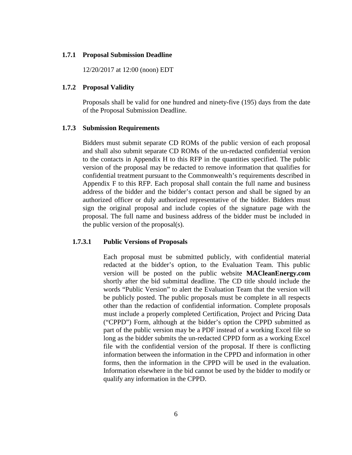#### <span id="page-12-0"></span>**1.7.1 Proposal Submission Deadline**

12/20/2017 at 12:00 (noon) EDT

#### <span id="page-12-1"></span>**1.7.2 Proposal Validity**

Proposals shall be valid for one hundred and ninety-five (195) days from the date of the Proposal Submission Deadline.

#### <span id="page-12-2"></span>**1.7.3 Submission Requirements**

Bidders must submit separate CD ROMs of the public version of each proposal and shall also submit separate CD ROMs of the un-redacted confidential version to the contacts in Appendix H to this RFP in the quantities specified. The public version of the proposal may be redacted to remove information that qualifies for confidential treatment pursuant to the Commonwealth's requirements described in Appendix F to this RFP. Each proposal shall contain the full name and business address of the bidder and the bidder's contact person and shall be signed by an authorized officer or duly authorized representative of the bidder. Bidders must sign the original proposal and include copies of the signature page with the proposal. The full name and business address of the bidder must be included in the public version of the proposal(s).

#### <span id="page-12-3"></span>**1.7.3.1 Public Versions of Proposals**

Each proposal must be submitted publicly, with confidential material redacted at the bidder's option, to the Evaluation Team. This public version will be posted on the public website **MACleanEnergy.com** shortly after the bid submittal deadline. The CD title should include the words "Public Version" to alert the Evaluation Team that the version will be publicly posted. The public proposals must be complete in all respects other than the redaction of confidential information. Complete proposals must include a properly completed Certification, Project and Pricing Data ("CPPD") Form, although at the bidder's option the CPPD submitted as part of the public version may be a PDF instead of a working Excel file so long as the bidder submits the un-redacted CPPD form as a working Excel file with the confidential version of the proposal. If there is conflicting information between the information in the CPPD and information in other forms, then the information in the CPPD will be used in the evaluation. Information elsewhere in the bid cannot be used by the bidder to modify or qualify any information in the CPPD.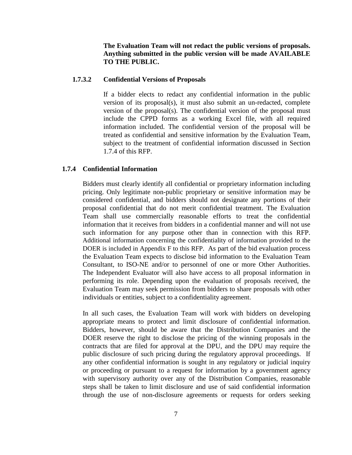**The Evaluation Team will not redact the public versions of proposals. Anything submitted in the public version will be made AVAILABLE TO THE PUBLIC.**

#### <span id="page-13-0"></span>**1.7.3.2 Confidential Versions of Proposals**

If a bidder elects to redact any confidential information in the public version of its proposal(s), it must also submit an un-redacted, complete version of the proposal(s). The confidential version of the proposal must include the CPPD forms as a working Excel file, with all required information included. The confidential version of the proposal will be treated as confidential and sensitive information by the Evaluation Team, subject to the treatment of confidential information discussed in Section 1.7.4 of this RFP.

#### <span id="page-13-1"></span>**1.7.4 Confidential Information**

Bidders must clearly identify all confidential or proprietary information including pricing. Only legitimate non-public proprietary or sensitive information may be considered confidential, and bidders should not designate any portions of their proposal confidential that do not merit confidential treatment. The Evaluation Team shall use commercially reasonable efforts to treat the confidential information that it receives from bidders in a confidential manner and will not use such information for any purpose other than in connection with this RFP. Additional information concerning the confidentiality of information provided to the DOER is included in Appendix F to this RFP. As part of the bid evaluation process the Evaluation Team expects to disclose bid information to the Evaluation Team Consultant, to ISO-NE and/or to personnel of one or more Other Authorities. The Independent Evaluator will also have access to all proposal information in performing its role. Depending upon the evaluation of proposals received, the Evaluation Team may seek permission from bidders to share proposals with other individuals or entities, subject to a confidentiality agreement.

In all such cases, the Evaluation Team will work with bidders on developing appropriate means to protect and limit disclosure of confidential information. Bidders, however, should be aware that the Distribution Companies and the DOER reserve the right to disclose the pricing of the winning proposals in the contracts that are filed for approval at the DPU, and the DPU may require the public disclosure of such pricing during the regulatory approval proceedings. If any other confidential information is sought in any regulatory or judicial inquiry or proceeding or pursuant to a request for information by a government agency with supervisory authority over any of the Distribution Companies, reasonable steps shall be taken to limit disclosure and use of said confidential information through the use of non-disclosure agreements or requests for orders seeking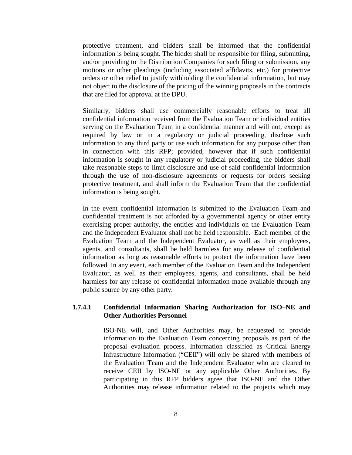protective treatment, and bidders shall be informed that the confidential information is being sought. The bidder shall be responsible for filing, submitting, and/or providing to the Distribution Companies for such filing or submission, any motions or other pleadings (including associated affidavits, etc.) for protective orders or other relief to justify withholding the confidential information, but may not object to the disclosure of the pricing of the winning proposals in the contracts that are filed for approval at the DPU.

Similarly, bidders shall use commercially reasonable efforts to treat all confidential information received from the Evaluation Team or individual entities serving on the Evaluation Team in a confidential manner and will not, except as required by law or in a regulatory or judicial proceeding, disclose such information to any third party or use such information for any purpose other than in connection with this RFP; provided, however that if such confidential information is sought in any regulatory or judicial proceeding, the bidders shall take reasonable steps to limit disclosure and use of said confidential information through the use of non-disclosure agreements or requests for orders seeking protective treatment, and shall inform the Evaluation Team that the confidential information is being sought.

In the event confidential information is submitted to the Evaluation Team and confidential treatment is not afforded by a governmental agency or other entity exercising proper authority, the entities and individuals on the Evaluation Team and the Independent Evaluator shall not be held responsible. Each member of the Evaluation Team and the Independent Evaluator, as well as their employees, agents, and consultants, shall be held harmless for any release of confidential information as long as reasonable efforts to protect the information have been followed. In any event, each member of the Evaluation Team and the Independent Evaluator, as well as their employees, agents, and consultants, shall be held harmless for any release of confidential information made available through any public source by any other party.

#### <span id="page-14-0"></span>**1.7.4.1 Confidential Information Sharing Authorization for ISO–NE and Other Authorities Personnel**

ISO-NE will, and Other Authorities may, be requested to provide information to the Evaluation Team concerning proposals as part of the proposal evaluation process. Information classified as Critical Energy Infrastructure Information ("CEII") will only be shared with members of the Evaluation Team and the Independent Evaluator who are cleared to receive CEII by ISO-NE or any applicable Other Authorities. By participating in this RFP bidders agree that ISO-NE and the Other Authorities may release information related to the projects which may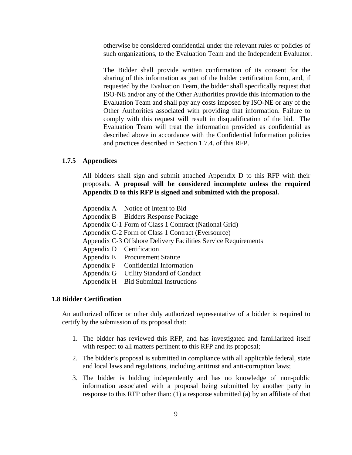otherwise be considered confidential under the relevant rules or policies of such organizations, to the Evaluation Team and the Independent Evaluator.

The Bidder shall provide written confirmation of its consent for the sharing of this information as part of the bidder certification form, and, if requested by the Evaluation Team, the bidder shall specifically request that ISO-NE and/or any of the Other Authorities provide this information to the Evaluation Team and shall pay any costs imposed by ISO-NE or any of the Other Authorities associated with providing that information. Failure to comply with this request will result in disqualification of the bid. The Evaluation Team will treat the information provided as confidential as described above in accordance with the Confidential Information policies and practices described in Section 1.7.4. of this RFP.

#### <span id="page-15-0"></span>**1.7.5 Appendices**

All bidders shall sign and submit attached Appendix D to this RFP with their proposals. **A proposal will be considered incomplete unless the required Appendix D to this RFP is signed and submitted with the proposal.**

|                          | Appendix A Notice of Intent to Bid                             |
|--------------------------|----------------------------------------------------------------|
|                          | Appendix B Bidders Response Package                            |
|                          | Appendix C-1 Form of Class 1 Contract (National Grid)          |
|                          | Appendix C-2 Form of Class 1 Contract (Eversource)             |
|                          | Appendix C-3 Offshore Delivery Facilities Service Requirements |
| Appendix D Certification |                                                                |
|                          | Appendix E Procurement Statute                                 |
| Appendix F               | Confidential Information                                       |
| Appendix G               | <b>Utility Standard of Conduct</b>                             |
|                          | Appendix H Bid Submittal Instructions                          |

#### <span id="page-15-1"></span>**1.8 Bidder Certification**

An authorized officer or other duly authorized representative of a bidder is required to certify by the submission of its proposal that:

- 1. The bidder has reviewed this RFP, and has investigated and familiarized itself with respect to all matters pertinent to this RFP and its proposal;
- 2. The bidder's proposal is submitted in compliance with all applicable federal, state and local laws and regulations, including antitrust and anti-corruption laws;
- 3. The bidder is bidding independently and has no knowledge of non-public information associated with a proposal being submitted by another party in response to this RFP other than: (1) a response submitted (a) by an affiliate of that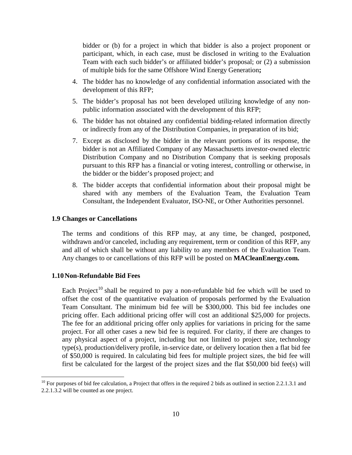bidder or (b) for a project in which that bidder is also a project proponent or participant, which, in each case, must be disclosed in writing to the Evaluation Team with each such bidder's or affiliated bidder's proposal; or (2) a submission of multiple bids for the same Offshore Wind Energy Generation**;**

- 4. The bidder has no knowledge of any confidential information associated with the development of this RFP;
- 5. The bidder's proposal has not been developed utilizing knowledge of any nonpublic information associated with the development of this RFP;
- 6. The bidder has not obtained any confidential bidding-related information directly or indirectly from any of the Distribution Companies, in preparation of its bid;
- 7. Except as disclosed by the bidder in the relevant portions of its response, the bidder is not an Affiliated Company of any Massachusetts investor-owned electric Distribution Company and no Distribution Company that is seeking proposals pursuant to this RFP has a financial or voting interest, controlling or otherwise, in the bidder or the bidder's proposed project; and
- 8. The bidder accepts that confidential information about their proposal might be shared with any members of the Evaluation Team, the Evaluation Team Consultant, the Independent Evaluator, ISO-NE, or Other Authorities personnel.

#### <span id="page-16-0"></span>**1.9 Changes or Cancellations**

The terms and conditions of this RFP may, at any time, be changed, postponed, withdrawn and/or canceled, including any requirement, term or condition of this RFP, any and all of which shall be without any liability to any members of the Evaluation Team. Any changes to or cancellations of this RFP will be posted on **MACleanEnergy.com.**

#### <span id="page-16-1"></span>**1.10Non-Refundable Bid Fees**

Each Project<sup>[10](#page-16-2)</sup> shall be required to pay a non-refundable bid fee which will be used to offset the cost of the quantitative evaluation of proposals performed by the Evaluation Team Consultant. The minimum bid fee will be \$300,000. This bid fee includes one pricing offer. Each additional pricing offer will cost an additional \$25,000 for projects. The fee for an additional pricing offer only applies for variations in pricing for the same project. For all other cases a new bid fee is required. For clarity, if there are changes to any physical aspect of a project, including but not limited to project size, technology type(s), production/delivery profile, in-service date, or delivery location then a flat bid fee of \$50,000 is required. In calculating bid fees for multiple project sizes, the bid fee will first be calculated for the largest of the project sizes and the flat \$50,000 bid fee(s) will

<span id="page-16-2"></span> $10$  For purposes of bid fee calculation, a Project that offers in the required 2 bids as outlined in section 2.2.1.3.1 and 2.2.1.3.2 will be counted as one project.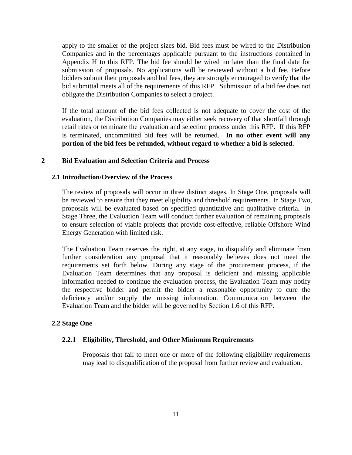apply to the smaller of the project sizes bid. Bid fees must be wired to the Distribution Companies and in the percentages applicable pursuant to the instructions contained in Appendix H to this RFP. The bid fee should be wired no later than the final date for submission of proposals. No applications will be reviewed without a bid fee. Before bidders submit their proposals and bid fees, they are strongly encouraged to verify that the bid submittal meets all of the requirements of this RFP. Submission of a bid fee does not obligate the Distribution Companies to select a project.

If the total amount of the bid fees collected is not adequate to cover the cost of the evaluation, the Distribution Companies may either seek recovery of that shortfall through retail rates or terminate the evaluation and selection process under this RFP. If this RFP is terminated, uncommitted bid fees will be returned. **In no other event will any portion of the bid fees be refunded, without regard to whether a bid is selected.**

#### <span id="page-17-0"></span>**2 Bid Evaluation and Selection Criteria and Process**

#### <span id="page-17-1"></span>**2.1 Introduction/Overview of the Process**

The review of proposals will occur in three distinct stages. In Stage One, proposals will be reviewed to ensure that they meet eligibility and threshold requirements. In Stage Two, proposals will be evaluated based on specified quantitative and qualitative criteria. In Stage Three, the Evaluation Team will conduct further evaluation of remaining proposals to ensure selection of viable projects that provide cost-effective, reliable Offshore Wind Energy Generation with limited risk.

The Evaluation Team reserves the right, at any stage, to disqualify and eliminate from further consideration any proposal that it reasonably believes does not meet the requirements set forth below. During any stage of the procurement process, if the Evaluation Team determines that any proposal is deficient and missing applicable information needed to continue the evaluation process, the Evaluation Team may notify the respective bidder and permit the bidder a reasonable opportunity to cure the deficiency and/or supply the missing information. Communication between the Evaluation Team and the bidder will be governed by Section 1.6 of this RFP.

#### <span id="page-17-3"></span><span id="page-17-2"></span>**2.2 Stage One**

#### **2.2.1 Eligibility, Threshold, and Other Minimum Requirements**

Proposals that fail to meet one or more of the following eligibility requirements may lead to disqualification of the proposal from further review and evaluation.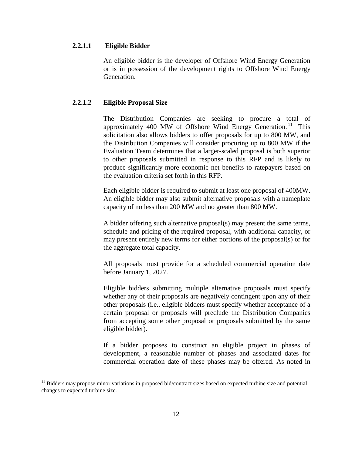#### **2.2.1.1 Eligible Bidder**

<span id="page-18-0"></span>An eligible bidder is the developer of Offshore Wind Energy Generation or is in possession of the development rights to Offshore Wind Energy Generation.

#### <span id="page-18-2"></span><span id="page-18-1"></span>**2.2.1.2 Eligible Proposal Size**

The Distribution Companies are seeking to procure a total of approximately 400 MW of Offshore Wind Energy Generation.<sup>[11](#page-18-3)</sup> This solicitation also allows bidders to offer proposals for up to 800 MW, and the Distribution Companies will consider procuring up to 800 MW if the Evaluation Team determines that a larger-scaled proposal is both superior to other proposals submitted in response to this RFP and is likely to produce significantly more economic net benefits to ratepayers based on the evaluation criteria set forth in this RFP.

Each eligible bidder is required to submit at least one proposal of 400MW. An eligible bidder may also submit alternative proposals with a nameplate capacity of no less than 200 MW and no greater than 800 MW.

A bidder offering such alternative proposal(s) may present the same terms, schedule and pricing of the required proposal, with additional capacity, or may present entirely new terms for either portions of the proposal(s) or for the aggregate total capacity.

All proposals must provide for a scheduled commercial operation date before January 1, 2027.

Eligible bidders submitting multiple alternative proposals must specify whether any of their proposals are negatively contingent upon any of their other proposals (i.e., eligible bidders must specify whether acceptance of a certain proposal or proposals will preclude the Distribution Companies from accepting some other proposal or proposals submitted by the same eligible bidder).

If a bidder proposes to construct an eligible project in phases of development, a reasonable number of phases and associated dates for commercial operation date of these phases may be offered. As noted in

<span id="page-18-3"></span><sup>&</sup>lt;sup>11</sup> Bidders may propose minor variations in proposed bid/contract sizes based on expected turbine size and potential changes to expected turbine size.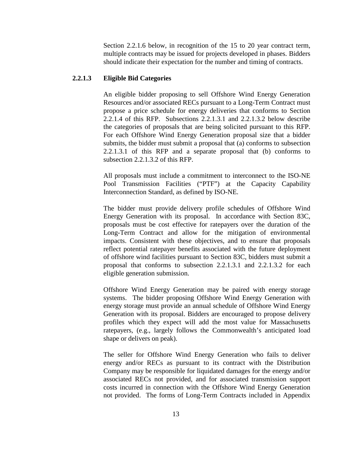Section 2.2.1.6 below, in recognition of the 15 to 20 year contract term, multiple contracts may be issued for projects developed in phases. Bidders should indicate their expectation for the number and timing of contracts.

#### **2.2.1.3 Eligible Bid Categories**

An eligible bidder proposing to sell Offshore Wind Energy Generation Resources and/or associated RECs pursuant to a Long-Term Contract must propose a price schedule for energy deliveries that conforms to Section 2.2.1.4 of this RFP. Subsections 2.2.1.3.1 and 2.2.1.3.2 below describe the categories of proposals that are being solicited pursuant to this RFP. For each Offshore Wind Energy Generation proposal size that a bidder submits, the bidder must submit a proposal that (a) conforms to subsection 2.2.1.3.1 of this RFP and a separate proposal that (b) conforms to subsection 2.2.1.3.2 of this RFP.

All proposals must include a commitment to interconnect to the ISO-NE Pool Transmission Facilities ("PTF") at the Capacity Capability Interconnection Standard, as defined by ISO-NE.

The bidder must provide delivery profile schedules of Offshore Wind Energy Generation with its proposal. In accordance with Section 83C, proposals must be cost effective for ratepayers over the duration of the Long-Term Contract and allow for the mitigation of environmental impacts. Consistent with these objectives, and to ensure that proposals reflect potential ratepayer benefits associated with the future deployment of offshore wind facilities pursuant to Section 83C, bidders must submit a proposal that conforms to subsection 2.2.1.3.1 and 2.2.1.3.2 for each eligible generation submission.

Offshore Wind Energy Generation may be paired with energy storage systems. The bidder proposing Offshore Wind Energy Generation with energy storage must provide an annual schedule of Offshore Wind Energy Generation with its proposal. Bidders are encouraged to propose delivery profiles which they expect will add the most value for Massachusetts ratepayers, (e.g., largely follows the Commonwealth's anticipated load shape or delivers on peak).

The seller for Offshore Wind Energy Generation who fails to deliver energy and/or RECs as pursuant to its contract with the Distribution Company may be responsible for liquidated damages for the energy and/or associated RECs not provided, and for associated transmission support costs incurred in connection with the Offshore Wind Energy Generation not provided. The forms of Long-Term Contracts included in Appendix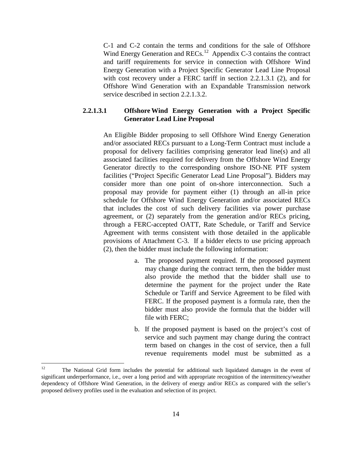C-1 and C-2 contain the terms and conditions for the sale of Offshore Wind Energy Generation and RECs.<sup>12</sup> Appendix C-3 contains the contract and tariff requirements for service in connection with Offshore Wind Energy Generation with a Project Specific Generator Lead Line Proposal with cost recovery under a FERC tariff in section 2.2.1.3.1 (2), and for Offshore Wind Generation with an Expandable Transmission network service described in section 2.2.1.3.2.

#### **2.2.1.3.1 OffshoreWind Energy Generation with a Project Specific Generator Lead Line Proposal**

An Eligible Bidder proposing to sell Offshore Wind Energy Generation and/or associated RECs pursuant to a Long-Term Contract must include a proposal for delivery facilities comprising generator lead line(s) and all associated facilities required for delivery from the Offshore Wind Energy Generator directly to the corresponding onshore ISO-NE PTF system facilities ("Project Specific Generator Lead Line Proposal"). Bidders may consider more than one point of on-shore interconnection. Such a proposal may provide for payment either (1) through an all-in price schedule for Offshore Wind Energy Generation and/or associated RECs that includes the cost of such delivery facilities via power purchase agreement, or (2) separately from the generation and/or RECs pricing, through a FERC-accepted OATT, Rate Schedule, or Tariff and Service Agreement with terms consistent with those detailed in the applicable provisions of Attachment C-3. If a bidder elects to use pricing approach (2), then the bidder must include the following information:

- a. The proposed payment required. If the proposed payment may change during the contract term, then the bidder must also provide the method that the bidder shall use to determine the payment for the project under the Rate Schedule or Tariff and Service Agreement to be filed with FERC. If the proposed payment is a formula rate, then the bidder must also provide the formula that the bidder will file with FERC;
- b. If the proposed payment is based on the project's cost of service and such payment may change during the contract term based on changes in the cost of service, then a full revenue requirements model must be submitted as a

<span id="page-20-0"></span><sup>&</sup>lt;sup>12</sup> The National Grid form includes the potential for additional such liquidated damages in the event of significant underperformance, i.e., over a long period and with appropriate recognition of the intermittency/weather dependency of Offshore Wind Generation, in the delivery of energy and/or RECs as compared with the seller's proposed delivery profiles used in the evaluation and selection of its project.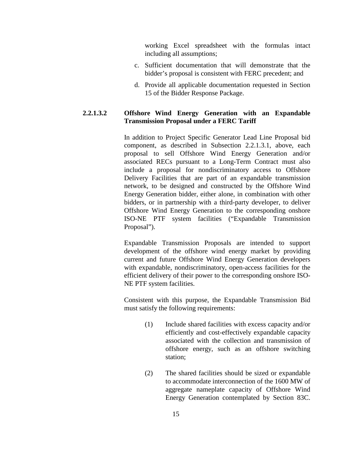working Excel spreadsheet with the formulas intact including all assumptions;

- c. Sufficient documentation that will demonstrate that the bidder's proposal is consistent with FERC precedent; and
- d. Provide all applicable documentation requested in Section 15 of the Bidder Response Package.

#### **2.2.1.3.2 Offshore Wind Energy Generation with an Expandable Transmission Proposal under a FERC Tariff**

In addition to Project Specific Generator Lead Line Proposal bid component, as described in Subsection 2.2.1.3.1, above, each proposal to sell Offshore Wind Energy Generation and/or associated RECs pursuant to a Long-Term Contract must also include a proposal for nondiscriminatory access to Offshore Delivery Facilities that are part of an expandable transmission network, to be designed and constructed by the Offshore Wind Energy Generation bidder, either alone, in combination with other bidders, or in partnership with a third-party developer, to deliver Offshore Wind Energy Generation to the corresponding onshore ISO-NE PTF system facilities ("Expandable Transmission Proposal").

Expandable Transmission Proposals are intended to support development of the offshore wind energy market by providing current and future Offshore Wind Energy Generation developers with expandable, nondiscriminatory, open-access facilities for the efficient delivery of their power to the corresponding onshore ISO-NE PTF system facilities.

Consistent with this purpose, the Expandable Transmission Bid must satisfy the following requirements:

- (1) Include shared facilities with excess capacity and/or efficiently and cost-effectively expandable capacity associated with the collection and transmission of offshore energy, such as an offshore switching station;
- (2) The shared facilities should be sized or expandable to accommodate interconnection of the 1600 MW of aggregate nameplate capacity of Offshore Wind Energy Generation contemplated by Section 83C.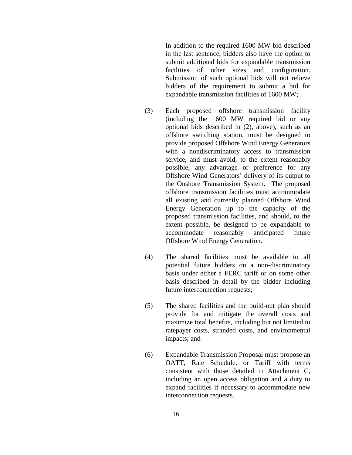In addition to the required 1600 MW bid described in the last sentence, bidders also have the option to submit additional bids for expandable transmission facilities of other sizes and configuration. Submission of such optional bids will not relieve bidders of the requirement to submit a bid for expandable transmission facilities of 1600 MW;

- (3) Each proposed offshore transmission facility (including the 1600 MW required bid or any optional bids described in (2), above), such as an offshore switching station, must be designed to provide proposed Offshore Wind Energy Generators with a nondiscriminatory access to transmission service, and must avoid, to the extent reasonably possible, any advantage or preference for any Offshore Wind Generators' delivery of its output to the Onshore Transmission System. The proposed offshore transmission facilities must accommodate all existing and currently planned Offshore Wind Energy Generation up to the capacity of the proposed transmission facilities, and should, to the extent possible, be designed to be expandable to accommodate reasonably anticipated future Offshore Wind Energy Generation.
- (4) The shared facilities must be available to all potential future bidders on a non-discriminatory basis under either a FERC tariff or on some other basis described in detail by the bidder including future interconnection requests;
- (5) The shared facilities and the build-out plan should provide for and mitigate the overall costs and maximize total benefits, including but not limited to ratepayer costs, stranded costs, and environmental impacts; and
- (6) Expandable Transmission Proposal must propose an OATT, Rate Schedule, or Tariff with terms consistent with those detailed in Attachment C, including an open access obligation and a duty to expand facilities if necessary to accommodate new interconnection requests.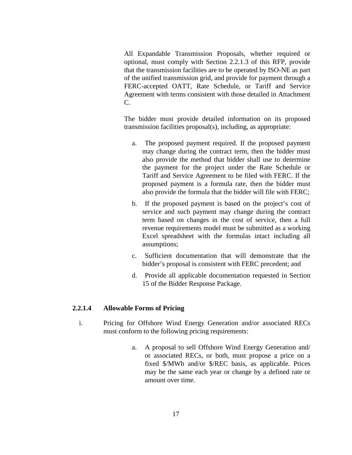All Expandable Transmission Proposals, whether required or optional, must comply with Section 2.2.1.3 of this RFP, provide that the transmission facilities are to be operated by ISO-NE as part of the unified transmission grid, and provide for payment through a FERC-accepted OATT, Rate Schedule, or Tariff and Service Agreement with terms consistent with those detailed in Attachment C.

The bidder must provide detailed information on its proposed transmission facilities proposal(s), including, as appropriate:

- a. The proposed payment required. If the proposed payment may change during the contract term, then the bidder must also provide the method that bidder shall use to determine the payment for the project under the Rate Schedule or Tariff and Service Agreement to be filed with FERC. If the proposed payment is a formula rate, then the bidder must also provide the formula that the bidder will file with FERC;
- b. If the proposed payment is based on the project's cost of service and such payment may change during the contract term based on changes in the cost of service, then a full revenue requirements model must be submitted as a working Excel spreadsheet with the formulas intact including all assumptions;
- c. Sufficient documentation that will demonstrate that the bidder's proposal is consistent with FERC precedent; and
- d. Provide all applicable documentation requested in Section 15 of the Bidder Response Package.

#### <span id="page-23-0"></span>**2.2.1.4 Allowable Forms of Pricing**

- i. Pricing for Offshore Wind Energy Generation and/or associated RECs must conform to the following pricing requirements:
	- a. A proposal to sell Offshore Wind Energy Generation and/ or associated RECs, or both, must propose a price on a fixed \$/MWh and/or \$/REC basis, as applicable. Prices may be the same each year or change by a defined rate or amount over time.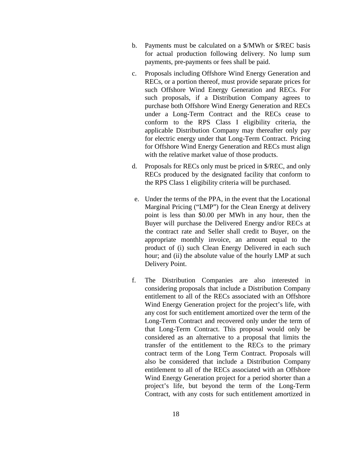- b. Payments must be calculated on a \$/MWh or \$/REC basis for actual production following delivery. No lump sum payments, pre-payments or fees shall be paid.
- c. Proposals including Offshore Wind Energy Generation and RECs, or a portion thereof, must provide separate prices for such Offshore Wind Energy Generation and RECs. For such proposals, if a Distribution Company agrees to purchase both Offshore Wind Energy Generation and RECs under a Long-Term Contract and the RECs cease to conform to the RPS Class I eligibility criteria, the applicable Distribution Company may thereafter only pay for electric energy under that Long-Term Contract. Pricing for Offshore Wind Energy Generation and RECs must align with the relative market value of those products.
- d. Proposals for RECs only must be priced in \$/REC, and only RECs produced by the designated facility that conform to the RPS Class 1 eligibility criteria will be purchased.
- e. Under the terms of the PPA, in the event that the Locational Marginal Pricing ("LMP") for the Clean Energy at delivery point is less than \$0.00 per MWh in any hour, then the Buyer will purchase the Delivered Energy and/or RECs at the contract rate and Seller shall credit to Buyer, on the appropriate monthly invoice, an amount equal to the product of (i) such Clean Energy Delivered in each such hour; and (ii) the absolute value of the hourly LMP at such Delivery Point.
- f. The Distribution Companies are also interested in considering proposals that include a Distribution Company entitlement to all of the RECs associated with an Offshore Wind Energy Generation project for the project's life, with any cost for such entitlement amortized over the term of the Long-Term Contract and recovered only under the term of that Long-Term Contract. This proposal would only be considered as an alternative to a proposal that limits the transfer of the entitlement to the RECs to the primary contract term of the Long Term Contract. Proposals will also be considered that include a Distribution Company entitlement to all of the RECs associated with an Offshore Wind Energy Generation project for a period shorter than a project's life, but beyond the term of the Long-Term Contract, with any costs for such entitlement amortized in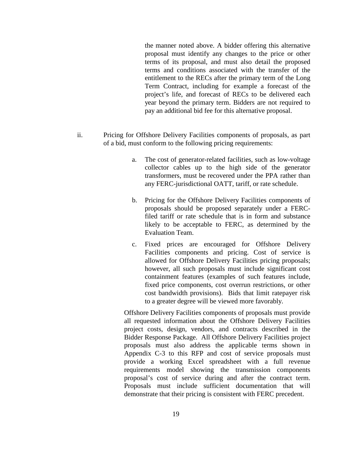the manner noted above. A bidder offering this alternative proposal must identify any changes to the price or other terms of its proposal, and must also detail the proposed terms and conditions associated with the transfer of the entitlement to the RECs after the primary term of the Long Term Contract, including for example a forecast of the project's life, and forecast of RECs to be delivered each year beyond the primary term. Bidders are not required to pay an additional bid fee for this alternative proposal.

- ii. Pricing for Offshore Delivery Facilities components of proposals, as part of a bid, must conform to the following pricing requirements:
	- a. The cost of generator-related facilities, such as low-voltage collector cables up to the high side of the generator transformers, must be recovered under the PPA rather than any FERC-jurisdictional OATT, tariff, or rate schedule.
	- b. Pricing for the Offshore Delivery Facilities components of proposals should be proposed separately under a FERCfiled tariff or rate schedule that is in form and substance likely to be acceptable to FERC, as determined by the Evaluation Team.
	- c. Fixed prices are encouraged for Offshore Delivery Facilities components and pricing. Cost of service is allowed for Offshore Delivery Facilities pricing proposals; however, all such proposals must include significant cost containment features (examples of such features include, fixed price components, cost overrun restrictions, or other cost bandwidth provisions). Bids that limit ratepayer risk to a greater degree will be viewed more favorably.

Offshore Delivery Facilities components of proposals must provide all requested information about the Offshore Delivery Facilities project costs, design, vendors, and contracts described in the Bidder Response Package. All Offshore Delivery Facilities project proposals must also address the applicable terms shown in Appendix C-3 to this RFP and cost of service proposals must provide a working Excel spreadsheet with a full revenue requirements model showing the transmission components proposal's cost of service during and after the contract term. Proposals must include sufficient documentation that will demonstrate that their pricing is consistent with FERC precedent.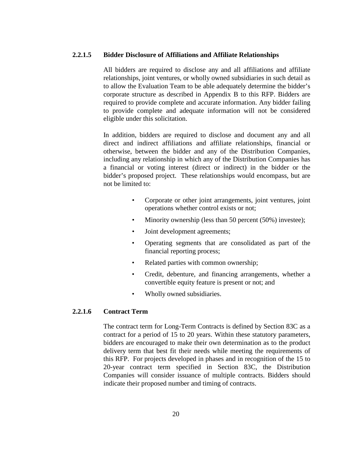#### <span id="page-26-0"></span>**2.2.1.5 Bidder Disclosure of Affiliations and Affiliate Relationships**

All bidders are required to disclose any and all affiliations and affiliate relationships, joint ventures, or wholly owned subsidiaries in such detail as to allow the Evaluation Team to be able adequately determine the bidder's corporate structure as described in Appendix B to this RFP. Bidders are required to provide complete and accurate information. Any bidder failing to provide complete and adequate information will not be considered eligible under this solicitation.

In addition, bidders are required to disclose and document any and all direct and indirect affiliations and affiliate relationships, financial or otherwise, between the bidder and any of the Distribution Companies, including any relationship in which any of the Distribution Companies has a financial or voting interest (direct or indirect) in the bidder or the bidder's proposed project. These relationships would encompass, but are not be limited to:

- Corporate or other joint arrangements, joint ventures, joint operations whether control exists or not;
- Minority ownership (less than 50 percent (50%) investee);
- Joint development agreements;
- Operating segments that are consolidated as part of the financial reporting process;
- Related parties with common ownership;
- Credit, debenture, and financing arrangements, whether a convertible equity feature is present or not; and
- Wholly owned subsidiaries.

#### <span id="page-26-1"></span>**2.2.1.6 Contract Term**

The contract term for Long-Term Contracts is defined by Section 83C as a contract for a period of 15 to 20 years. Within these statutory parameters, bidders are encouraged to make their own determination as to the product delivery term that best fit their needs while meeting the requirements of this RFP. For projects developed in phases and in recognition of the 15 to 20-year contract term specified in Section 83C, the Distribution Companies will consider issuance of multiple contracts. Bidders should indicate their proposed number and timing of contracts.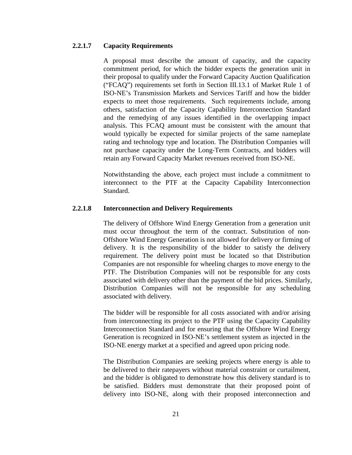#### <span id="page-27-0"></span>**2.2.1.7 Capacity Requirements**

A proposal must describe the amount of capacity, and the capacity commitment period, for which the bidder expects the generation unit in their proposal to qualify under the Forward Capacity Auction Qualification ("FCAQ") requirements set forth in Section III.13.1 of Market Rule 1 of ISO-NE's Transmission Markets and Services Tariff and how the bidder expects to meet those requirements. Such requirements include, among others, satisfaction of the Capacity Capability Interconnection Standard and the remedying of any issues identified in the overlapping impact analysis. This FCAQ amount must be consistent with the amount that would typically be expected for similar projects of the same nameplate rating and technology type and location. The Distribution Companies will not purchase capacity under the Long-Term Contracts, and bidders will retain any Forward Capacity Market revenues received from ISO-NE.

Notwithstanding the above, each project must include a commitment to interconnect to the PTF at the Capacity Capability Interconnection Standard.

#### <span id="page-27-1"></span>**2.2.1.8 Interconnection and Delivery Requirements**

The delivery of Offshore Wind Energy Generation from a generation unit must occur throughout the term of the contract. Substitution of non-Offshore Wind Energy Generation is not allowed for delivery or firming of delivery. It is the responsibility of the bidder to satisfy the delivery requirement. The delivery point must be located so that Distribution Companies are not responsible for wheeling charges to move energy to the PTF. The Distribution Companies will not be responsible for any costs associated with delivery other than the payment of the bid prices. Similarly, Distribution Companies will not be responsible for any scheduling associated with delivery.

The bidder will be responsible for all costs associated with and/or arising from interconnecting its project to the PTF using the Capacity Capability Interconnection Standard and for ensuring that the Offshore Wind Energy Generation is recognized in ISO-NE's settlement system as injected in the ISO-NE energy market at a specified and agreed upon pricing node.

The Distribution Companies are seeking projects where energy is able to be delivered to their ratepayers without material constraint or curtailment, and the bidder is obligated to demonstrate how this delivery standard is to be satisfied. Bidders must demonstrate that their proposed point of delivery into ISO-NE, along with their proposed interconnection and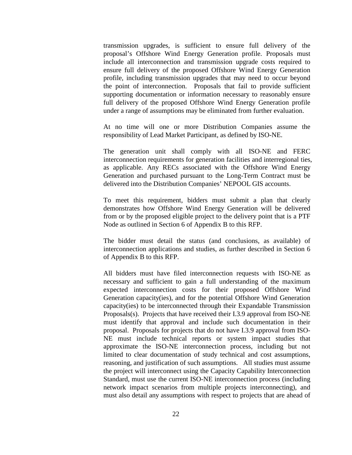transmission upgrades, is sufficient to ensure full delivery of the proposal's Offshore Wind Energy Generation profile. Proposals must include all interconnection and transmission upgrade costs required to ensure full delivery of the proposed Offshore Wind Energy Generation profile, including transmission upgrades that may need to occur beyond the point of interconnection. Proposals that fail to provide sufficient supporting documentation or information necessary to reasonably ensure full delivery of the proposed Offshore Wind Energy Generation profile under a range of assumptions may be eliminated from further evaluation.

At no time will one or more Distribution Companies assume the responsibility of Lead Market Participant, as defined by ISO-NE.

The generation unit shall comply with all ISO-NE and FERC interconnection requirements for generation facilities and interregional ties, as applicable. Any RECs associated with the Offshore Wind Energy Generation and purchased pursuant to the Long-Term Contract must be delivered into the Distribution Companies' NEPOOL GIS accounts.

To meet this requirement, bidders must submit a plan that clearly demonstrates how Offshore Wind Energy Generation will be delivered from or by the proposed eligible project to the delivery point that is a PTF Node as outlined in Section 6 of Appendix B to this RFP.

The bidder must detail the status (and conclusions, as available) of interconnection applications and studies, as further described in Section 6 of Appendix B to this RFP.

All bidders must have filed interconnection requests with ISO-NE as necessary and sufficient to gain a full understanding of the maximum expected interconnection costs for their proposed Offshore Wind Generation capacity(ies), and for the potential Offshore Wind Generation capacity(ies) to be interconnected through their Expandable Transmission Proposals(s). Projects that have received their I.3.9 approval from ISO-NE must identify that approval and include such documentation in their proposal. Proposals for projects that do not have I.3.9 approval from ISO-NE must include technical reports or system impact studies that approximate the ISO-NE interconnection process, including but not limited to clear documentation of study technical and cost assumptions, reasoning, and justification of such assumptions. All studies must assume the project will interconnect using the Capacity Capability Interconnection Standard, must use the current ISO-NE interconnection process (including network impact scenarios from multiple projects interconnecting), and must also detail any assumptions with respect to projects that are ahead of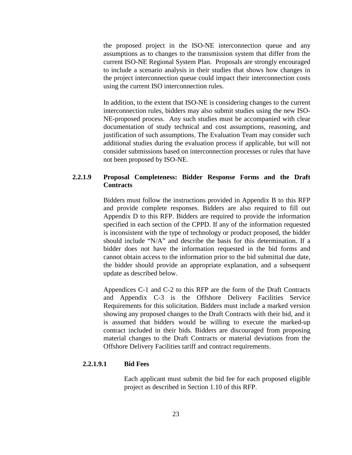the proposed project in the ISO-NE interconnection queue and any assumptions as to changes to the transmission system that differ from the current ISO-NE Regional System Plan. Proposals are strongly encouraged to include a scenario analysis in their studies that shows how changes in the project interconnection queue could impact their interconnection costs using the current ISO interconnection rules.

In addition, to the extent that ISO-NE is considering changes to the current interconnection rules, bidders may also submit studies using the new ISO-NE-proposed process. Any such studies must be accompanied with clear documentation of study technical and cost assumptions, reasoning, and justification of such assumptions. The Evaluation Team may consider such additional studies during the evaluation process if applicable, but will not consider submissions based on interconnection processes or rules that have not been proposed by ISO-NE.

#### <span id="page-29-0"></span>**2.2.1.9 Proposal Completeness: Bidder Response Forms and the Draft Contracts**

Bidders must follow the instructions provided in Appendix B to this RFP and provide complete responses. Bidders are also required to fill out Appendix D to this RFP. Bidders are required to provide the information specified in each section of the CPPD. If any of the information requested is inconsistent with the type of technology or product proposed, the bidder should include "N/A" and describe the basis for this determination. If a bidder does not have the information requested in the bid forms and cannot obtain access to the information prior to the bid submittal due date, the bidder should provide an appropriate explanation, and a subsequent update as described below.

Appendices C-1 and C-2 to this RFP are the form of the Draft Contracts and Appendix C-3 is the Offshore Delivery Facilities Service Requirements for this solicitation. Bidders must include a marked version showing any proposed changes to the Draft Contracts with their bid, and it is assumed that bidders would be willing to execute the marked-up contract included in their bids. Bidders are discouraged from proposing material changes to the Draft Contracts or material deviations from the Offshore Delivery Facilities tariff and contract requirements.

#### <span id="page-29-1"></span>**2.2.1.9.1 Bid Fees**

Each applicant must submit the bid fee for each proposed eligible project as described in Section 1.10 of this RFP.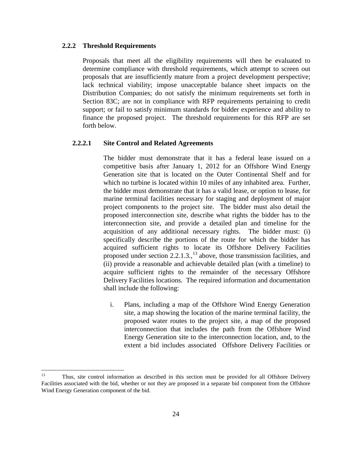#### <span id="page-30-0"></span>**2.2.2 Threshold Requirements**

Proposals that meet all the eligibility requirements will then be evaluated to determine compliance with threshold requirements, which attempt to screen out proposals that are insufficiently mature from a project development perspective; lack technical viability; impose unacceptable balance sheet impacts on the Distribution Companies; do not satisfy the minimum requirements set forth in Section 83C; are not in compliance with RFP requirements pertaining to credit support; or fail to satisfy minimum standards for bidder experience and ability to finance the proposed project. The threshold requirements for this RFP are set forth below.

#### <span id="page-30-1"></span>**2.2.2.1 Site Control and Related Agreements**

The bidder must demonstrate that it has a federal lease issued on a competitive basis after January 1, 2012 for an Offshore Wind Energy Generation site that is located on the Outer Continental Shelf and for which no turbine is located within 10 miles of any inhabited area. Further, the bidder must demonstrate that it has a valid lease, or option to lease, for marine terminal facilities necessary for staging and deployment of major project components to the project site. The bidder must also detail the proposed interconnection site, describe what rights the bidder has to the interconnection site, and provide a detailed plan and timeline for the acquisition of any additional necessary rights. The bidder must: (i) specifically describe the portions of the route for which the bidder has acquired sufficient rights to locate its Offshore Delivery Facilities proposed under section 2.2.1.3., $^{13}$  $^{13}$  $^{13}$  above, those transmission facilities, and (ii) provide a reasonable and achievable detailed plan (with a timeline) to acquire sufficient rights to the remainder of the necessary Offshore Delivery Facilities locations. The required information and documentation shall include the following:

i. Plans, including a map of the Offshore Wind Energy Generation site, a map showing the location of the marine terminal facility, the proposed water routes to the project site, a map of the proposed interconnection that includes the path from the Offshore Wind Energy Generation site to the interconnection location, and, to the extent a bid includes associated Offshore Delivery Facilities or

<span id="page-30-2"></span><sup>&</sup>lt;sup>13</sup> Thus, site control information as described in this section must be provided for all Offshore Delivery Facilities associated with the bid, whether or not they are proposed in a separate bid component from the Offshore Wind Energy Generation component of the bid.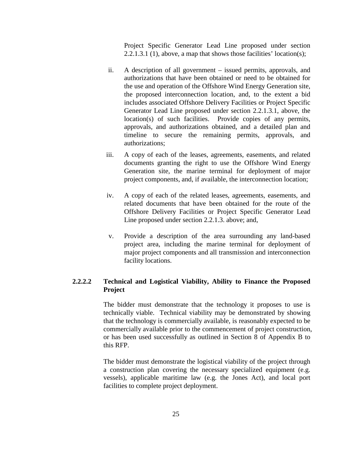Project Specific Generator Lead Line proposed under section  $2.2.1.3.1$  (1), above, a map that shows those facilities' location(s);

- ii. A description of all government issued permits, approvals, and authorizations that have been obtained or need to be obtained for the use and operation of the Offshore Wind Energy Generation site, the proposed interconnection location, and, to the extent a bid includes associated Offshore Delivery Facilities or Project Specific Generator Lead Line proposed under section 2.2.1.3.1, above, the location(s) of such facilities. Provide copies of any permits, approvals, and authorizations obtained, and a detailed plan and timeline to secure the remaining permits, approvals, and authorizations;
- iii. A copy of each of the leases, agreements, easements, and related documents granting the right to use the Offshore Wind Energy Generation site, the marine terminal for deployment of major project components, and, if available, the interconnection location;
- iv. A copy of each of the related leases, agreements, easements, and related documents that have been obtained for the route of the Offshore Delivery Facilities or Project Specific Generator Lead Line proposed under section 2.2.1.3. above; and,
- v. Provide a description of the area surrounding any land-based project area, including the marine terminal for deployment of major project components and all transmission and interconnection facility locations.

#### <span id="page-31-0"></span>**2.2.2.2 Technical and Logistical Viability, Ability to Finance the Proposed Project**

The bidder must demonstrate that the technology it proposes to use is technically viable. Technical viability may be demonstrated by showing that the technology is commercially available, is reasonably expected to be commercially available prior to the commencement of project construction, or has been used successfully as outlined in Section 8 of Appendix B to this RFP.

The bidder must demonstrate the logistical viability of the project through a construction plan covering the necessary specialized equipment (e.g. vessels), applicable maritime law (e.g. the Jones Act), and local port facilities to complete project deployment.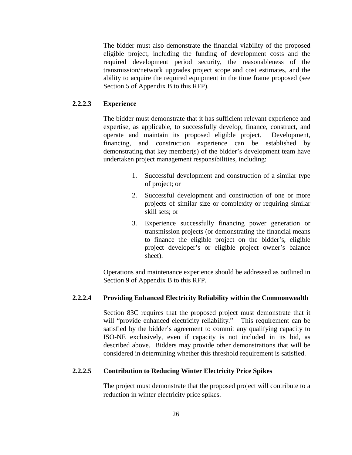The bidder must also demonstrate the financial viability of the proposed eligible project, including the funding of development costs and the required development period security, the reasonableness of the transmission/network upgrades project scope and cost estimates, and the ability to acquire the required equipment in the time frame proposed (see Section 5 of Appendix B to this RFP).

#### <span id="page-32-0"></span>**2.2.2.3 Experience**

The bidder must demonstrate that it has sufficient relevant experience and expertise, as applicable, to successfully develop, finance, construct, and operate and maintain its proposed eligible project. Development, financing, and construction experience can be established by demonstrating that key member(s) of the bidder's development team have undertaken project management responsibilities, including:

- 1. Successful development and construction of a similar type of project; or
- 2. Successful development and construction of one or more projects of similar size or complexity or requiring similar skill sets; or
- 3. Experience successfully financing power generation or transmission projects (or demonstrating the financial means to finance the eligible project on the bidder's, eligible project developer's or eligible project owner's balance sheet).

Operations and maintenance experience should be addressed as outlined in Section 9 of Appendix B to this RFP.

#### <span id="page-32-1"></span>**2.2.2.4 Providing Enhanced Electricity Reliability within the Commonwealth**

Section 83C requires that the proposed project must demonstrate that it will "provide enhanced electricity reliability." This requirement can be satisfied by the bidder's agreement to commit any qualifying capacity to ISO-NE exclusively, even if capacity is not included in its bid, as described above. Bidders may provide other demonstrations that will be considered in determining whether this threshold requirement is satisfied.

#### <span id="page-32-2"></span>**2.2.2.5 Contribution to Reducing Winter Electricity Price Spikes**

The project must demonstrate that the proposed project will contribute to a reduction in winter electricity price spikes.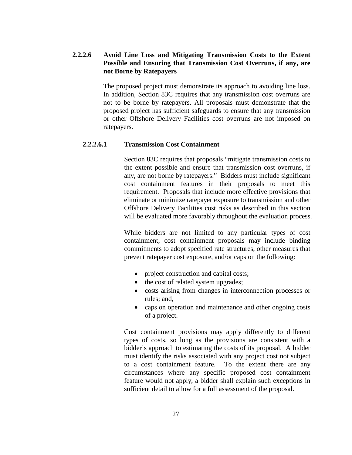#### <span id="page-33-0"></span>**2.2.2.6 Avoid Line Loss and Mitigating Transmission Costs to the Extent Possible and Ensuring that Transmission Cost Overruns, if any, are not Borne by Ratepayers**

The proposed project must demonstrate its approach to avoiding line loss. In addition, Section 83C requires that any transmission cost overruns are not to be borne by ratepayers. All proposals must demonstrate that the proposed project has sufficient safeguards to ensure that any transmission or other Offshore Delivery Facilities cost overruns are not imposed on ratepayers.

#### <span id="page-33-1"></span>**2.2.2.6.1 Transmission Cost Containment**

Section 83C requires that proposals "mitigate transmission costs to the extent possible and ensure that transmission cost overruns, if any, are not borne by ratepayers." Bidders must include significant cost containment features in their proposals to meet this requirement. Proposals that include more effective provisions that eliminate or minimize ratepayer exposure to transmission and other Offshore Delivery Facilities cost risks as described in this section will be evaluated more favorably throughout the evaluation process.

While bidders are not limited to any particular types of cost containment, cost containment proposals may include binding commitments to adopt specified rate structures, other measures that prevent ratepayer cost exposure, and/or caps on the following:

- project construction and capital costs;
- the cost of related system upgrades;
- costs arising from changes in interconnection processes or rules; and,
- caps on operation and maintenance and other ongoing costs of a project.

Cost containment provisions may apply differently to different types of costs, so long as the provisions are consistent with a bidder's approach to estimating the costs of its proposal. A bidder must identify the risks associated with any project cost not subject to a cost containment feature. To the extent there are any circumstances where any specific proposed cost containment feature would not apply, a bidder shall explain such exceptions in sufficient detail to allow for a full assessment of the proposal.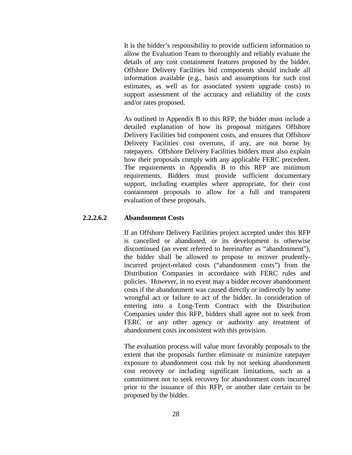It is the bidder's responsibility to provide sufficient information to allow the Evaluation Team to thoroughly and reliably evaluate the details of any cost containment features proposed by the bidder. Offshore Delivery Facilities bid components should include all information available (e.g., basis and assumptions for such cost estimates, as well as for associated system upgrade costs) to support assessment of the accuracy and reliability of the costs and/or rates proposed.

As outlined in Appendix B to this RFP, the bidder must include a detailed explanation of how its proposal mitigates Offshore Delivery Facilities bid component costs, and ensures that Offshore Delivery Facilities cost overruns, if any, are not borne by ratepayers. Offshore Delivery Facilities bidders must also explain how their proposals comply with any applicable FERC precedent. The requirements in Appendix B to this RFP are minimum requirements. Bidders must provide sufficient documentary support, including examples where appropriate, for their cost containment proposals to allow for a full and transparent evaluation of these proposals.

#### <span id="page-34-0"></span>**2.2.2.6.2 Abandonment Costs**

If an Offshore Delivery Facilities project accepted under this RFP is cancelled or abandoned, or its development is otherwise discontinued (an event referred to hereinafter as "abandonment"), the bidder shall be allowed to propose to recover prudentlyincurred project-related costs ("abandonment costs") from the Distribution Companies in accordance with FERC rules and policies. However, in no event may a bidder recover abandonment costs if the abandonment was caused directly or indirectly by some wrongful act or failure to act of the bidder. In consideration of entering into a Long-Term Contract with the Distribution Companies under this RFP, bidders shall agree not to seek from FERC or any other agency or authority any treatment of abandonment costs inconsistent with this provision.

The evaluation process will value more favorably proposals to the extent that the proposals further eliminate or minimize ratepayer exposure to abandonment cost risk by not seeking abandonment cost recovery or including significant limitations, such as a commitment not to seek recovery for abandonment costs incurred prior to the issuance of this RFP, or another date certain to be proposed by the bidder.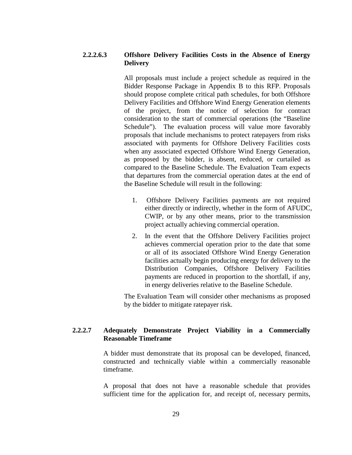#### <span id="page-35-0"></span>**2.2.2.6.3 Offshore Delivery Facilities Costs in the Absence of Energy Delivery**

All proposals must include a project schedule as required in the Bidder Response Package in Appendix B to this RFP. Proposals should propose complete critical path schedules, for both Offshore Delivery Facilities and Offshore Wind Energy Generation elements of the project, from the notice of selection for contract consideration to the start of commercial operations (the "Baseline Schedule"). The evaluation process will value more favorably proposals that include mechanisms to protect ratepayers from risks associated with payments for Offshore Delivery Facilities costs when any associated expected Offshore Wind Energy Generation, as proposed by the bidder, is absent, reduced, or curtailed as compared to the Baseline Schedule. The Evaluation Team expects that departures from the commercial operation dates at the end of the Baseline Schedule will result in the following:

- 1. Offshore Delivery Facilities payments are not required either directly or indirectly, whether in the form of AFUDC, CWIP, or by any other means, prior to the transmission project actually achieving commercial operation.
- 2. In the event that the Offshore Delivery Facilities project achieves commercial operation prior to the date that some or all of its associated Offshore Wind Energy Generation facilities actually begin producing energy for delivery to the Distribution Companies, Offshore Delivery Facilities payments are reduced in proportion to the shortfall, if any, in energy deliveries relative to the Baseline Schedule.

The Evaluation Team will consider other mechanisms as proposed by the bidder to mitigate ratepayer risk.

#### <span id="page-35-1"></span>**2.2.2.7 Adequately Demonstrate Project Viability in a Commercially Reasonable Timeframe**

A bidder must demonstrate that its proposal can be developed, financed, constructed and technically viable within a commercially reasonable timeframe.

A proposal that does not have a reasonable schedule that provides sufficient time for the application for, and receipt of, necessary permits,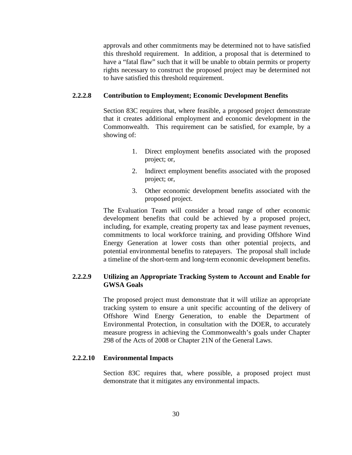approvals and other commitments may be determined not to have satisfied this threshold requirement. In addition, a proposal that is determined to have a "fatal flaw" such that it will be unable to obtain permits or property rights necessary to construct the proposed project may be determined not to have satisfied this threshold requirement.

## **2.2.2.8 Contribution to Employment; Economic Development Benefits**

Section 83C requires that, where feasible, a proposed project demonstrate that it creates additional employment and economic development in the Commonwealth. This requirement can be satisfied, for example, by a showing of:

- 1. Direct employment benefits associated with the proposed project; or,
- 2. Indirect employment benefits associated with the proposed project; or,
- 3. Other economic development benefits associated with the proposed project.

The Evaluation Team will consider a broad range of other economic development benefits that could be achieved by a proposed project, including, for example, creating property tax and lease payment revenues, commitments to local workforce training, and providing Offshore Wind Energy Generation at lower costs than other potential projects, and potential environmental benefits to ratepayers. The proposal shall include a timeline of the short-term and long-term economic development benefits.

# **2.2.2.9 Utilizing an Appropriate Tracking System to Account and Enable for GWSA Goals**

The proposed project must demonstrate that it will utilize an appropriate tracking system to ensure a unit specific accounting of the delivery of Offshore Wind Energy Generation, to enable the Department of Environmental Protection, in consultation with the DOER, to accurately measure progress in achieving the Commonwealth's goals under Chapter 298 of the Acts of 2008 or Chapter 21N of the General Laws.

## **2.2.2.10 Environmental Impacts**

Section 83C requires that, where possible, a proposed project must demonstrate that it mitigates any environmental impacts.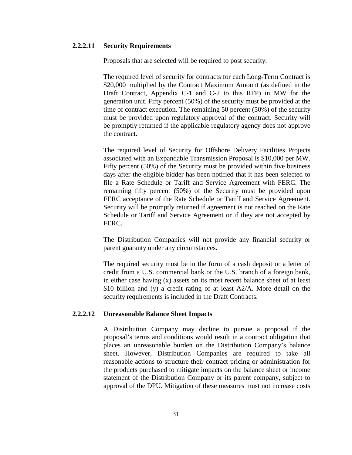### **2.2.2.11 Security Requirements**

Proposals that are selected will be required to post security.

The required level of security for contracts for each Long-Term Contract is \$20,000 multiplied by the Contract Maximum Amount (as defined in the Draft Contract, Appendix C-1 and C-2 to this RFP) in MW for the generation unit. Fifty percent (50%) of the security must be provided at the time of contract execution. The remaining 50 percent (50%) of the security must be provided upon regulatory approval of the contract. Security will be promptly returned if the applicable regulatory agency does not approve the contract.

The required level of Security for Offshore Delivery Facilities Projects associated with an Expandable Transmission Proposal is \$10,000 per MW. Fifty percent (50%) of the Security must be provided within five business days after the eligible bidder has been notified that it has been selected to file a Rate Schedule or Tariff and Service Agreement with FERC. The remaining fifty percent (50%) of the Security must be provided upon FERC acceptance of the Rate Schedule or Tariff and Service Agreement. Security will be promptly returned if agreement is not reached on the Rate Schedule or Tariff and Service Agreement or if they are not accepted by FERC.

The Distribution Companies will not provide any financial security or parent guaranty under any circumstances.

The required security must be in the form of a cash deposit or a letter of credit from a U.S. commercial bank or the U.S. branch of a foreign bank, in either case having (x) assets on its most recent balance sheet of at least \$10 billion and (y) a credit rating of at least A2/A. More detail on the security requirements is included in the Draft Contracts.

## **2.2.2.12 Unreasonable Balance Sheet Impacts**

A Distribution Company may decline to pursue a proposal if the proposal's terms and conditions would result in a contract obligation that places an unreasonable burden on the Distribution Company's balance sheet. However, Distribution Companies are required to take all reasonable actions to structure their contract pricing or administration for the products purchased to mitigate impacts on the balance sheet or income statement of the Distribution Company or its parent company, subject to approval of the DPU. Mitigation of these measures must not increase costs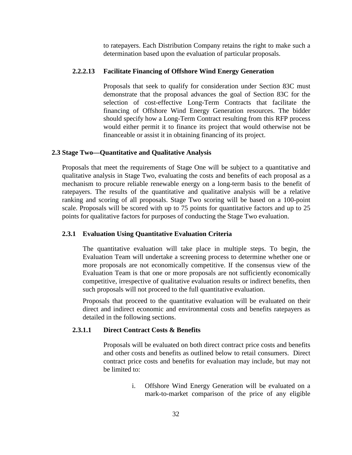to ratepayers. Each Distribution Company retains the right to make such a determination based upon the evaluation of particular proposals.

#### **2.2.2.13 Facilitate Financing of Offshore Wind Energy Generation**

Proposals that seek to qualify for consideration under Section 83C must demonstrate that the proposal advances the goal of Section 83C for the selection of cost-effective Long-Term Contracts that facilitate the financing of Offshore Wind Energy Generation resources. The bidder should specify how a Long-Term Contract resulting from this RFP process would either permit it to finance its project that would otherwise not be financeable or assist it in obtaining financing of its project.

#### **2.3 Stage Two—Quantitative and Qualitative Analysis**

Proposals that meet the requirements of Stage One will be subject to a quantitative and qualitative analysis in Stage Two, evaluating the costs and benefits of each proposal as a mechanism to procure reliable renewable energy on a long-term basis to the benefit of ratepayers. The results of the quantitative and qualitative analysis will be a relative ranking and scoring of all proposals. Stage Two scoring will be based on a 100-point scale. Proposals will be scored with up to 75 points for quantitative factors and up to 25 points for qualitative factors for purposes of conducting the Stage Two evaluation.

#### **2.3.1 Evaluation Using Quantitative Evaluation Criteria**

The quantitative evaluation will take place in multiple steps. To begin, the Evaluation Team will undertake a screening process to determine whether one or more proposals are not economically competitive. If the consensus view of the Evaluation Team is that one or more proposals are not sufficiently economically competitive, irrespective of qualitative evaluation results or indirect benefits, then such proposals will not proceed to the full quantitative evaluation.

Proposals that proceed to the quantitative evaluation will be evaluated on their direct and indirect economic and environmental costs and benefits ratepayers as detailed in the following sections.

#### **2.3.1.1 Direct Contract Costs & Benefits**

Proposals will be evaluated on both direct contract price costs and benefits and other costs and benefits as outlined below to retail consumers. Direct contract price costs and benefits for evaluation may include, but may not be limited to:

> i. Offshore Wind Energy Generation will be evaluated on a mark-to-market comparison of the price of any eligible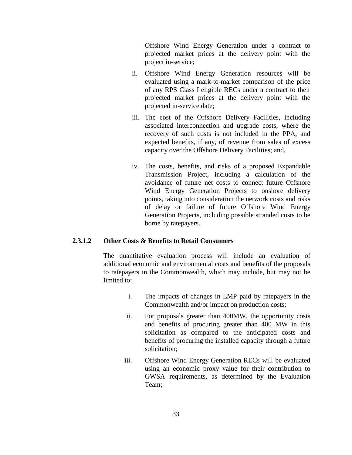Offshore Wind Energy Generation under a contract to projected market prices at the delivery point with the project in-service;

- ii. Offshore Wind Energy Generation resources will be evaluated using a mark-to-market comparison of the price of any RPS Class I eligible RECs under a contract to their projected market prices at the delivery point with the projected in-service date;
- iii. The cost of the Offshore Delivery Facilities, including associated interconnection and upgrade costs, where the recovery of such costs is not included in the PPA, and expected benefits, if any, of revenue from sales of excess capacity over the Offshore Delivery Facilities; and,
- iv. The costs, benefits, and risks of a proposed Expandable Transmission Project, including a calculation of the avoidance of future net costs to connect future Offshore Wind Energy Generation Projects to onshore delivery points, taking into consideration the network costs and risks of delay or failure of future Offshore Wind Energy Generation Projects, including possible stranded costs to be borne by ratepayers.

## **2.3.1.2 Other Costs & Benefits to Retail Consumers**

The quantitative evaluation process will include an evaluation of additional economic and environmental costs and benefits of the proposals to ratepayers in the Commonwealth, which may include, but may not be limited to:

- i. The impacts of changes in LMP paid by ratepayers in the Commonwealth and/or impact on production costs;
- ii. For proposals greater than 400MW, the opportunity costs and benefits of procuring greater than 400 MW in this solicitation as compared to the anticipated costs and benefits of procuring the installed capacity through a future solicitation;
- iii. Offshore Wind Energy Generation RECs will be evaluated using an economic proxy value for their contribution to GWSA requirements, as determined by the Evaluation Team;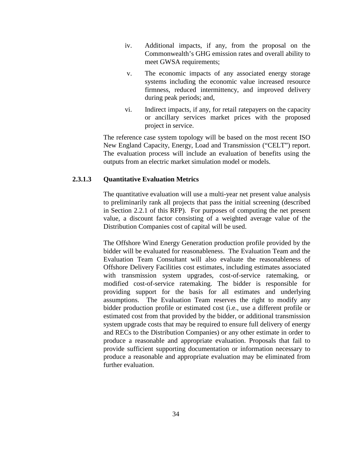- iv. Additional impacts, if any, from the proposal on the Commonwealth's GHG emission rates and overall ability to meet GWSA requirements;
- v. The economic impacts of any associated energy storage systems including the economic value increased resource firmness, reduced intermittency, and improved delivery during peak periods; and,
- vi. Indirect impacts, if any, for retail ratepayers on the capacity or ancillary services market prices with the proposed project in service.

The reference case system topology will be based on the most recent ISO New England Capacity, Energy, Load and Transmission ("CELT") report. The evaluation process will include an evaluation of benefits using the outputs from an electric market simulation model or models.

## **2.3.1.3 Quantitative Evaluation Metrics**

The quantitative evaluation will use a multi-year net present value analysis to preliminarily rank all projects that pass the initial screening (described in Section 2.2.1 of this RFP). For purposes of computing the net present value, a discount factor consisting of a weighted average value of the Distribution Companies cost of capital will be used.

The Offshore Wind Energy Generation production profile provided by the bidder will be evaluated for reasonableness. The Evaluation Team and the Evaluation Team Consultant will also evaluate the reasonableness of Offshore Delivery Facilities cost estimates, including estimates associated with transmission system upgrades, cost-of-service ratemaking, or modified cost-of-service ratemaking. The bidder is responsible for providing support for the basis for all estimates and underlying assumptions. The Evaluation Team reserves the right to modify any bidder production profile or estimated cost (i.e., use a different profile or estimated cost from that provided by the bidder, or additional transmission system upgrade costs that may be required to ensure full delivery of energy and RECs to the Distribution Companies) or any other estimate in order to produce a reasonable and appropriate evaluation. Proposals that fail to provide sufficient supporting documentation or information necessary to produce a reasonable and appropriate evaluation may be eliminated from further evaluation.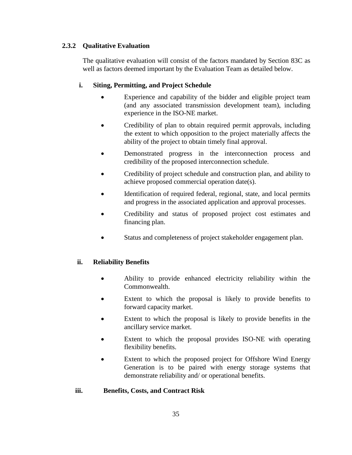# **2.3.2 Qualitative Evaluation**

The qualitative evaluation will consist of the factors mandated by Section 83C as well as factors deemed important by the Evaluation Team as detailed below.

# **i. Siting, Permitting, and Project Schedule**

- Experience and capability of the bidder and eligible project team (and any associated transmission development team), including experience in the ISO-NE market.
- Credibility of plan to obtain required permit approvals, including the extent to which opposition to the project materially affects the ability of the project to obtain timely final approval.
- Demonstrated progress in the interconnection process and credibility of the proposed interconnection schedule.
- Credibility of project schedule and construction plan, and ability to achieve proposed commercial operation date(s).
- Identification of required federal, regional, state, and local permits and progress in the associated application and approval processes.
- Credibility and status of proposed project cost estimates and financing plan.
- Status and completeness of project stakeholder engagement plan.

# **ii. Reliability Benefits**

- Ability to provide enhanced electricity reliability within the Commonwealth.
- Extent to which the proposal is likely to provide benefits to forward capacity market.
- Extent to which the proposal is likely to provide benefits in the ancillary service market.
- Extent to which the proposal provides ISO-NE with operating flexibility benefits.
- Extent to which the proposed project for Offshore Wind Energy Generation is to be paired with energy storage systems that demonstrate reliability and/ or operational benefits.

## **iii. Benefits, Costs, and Contract Risk**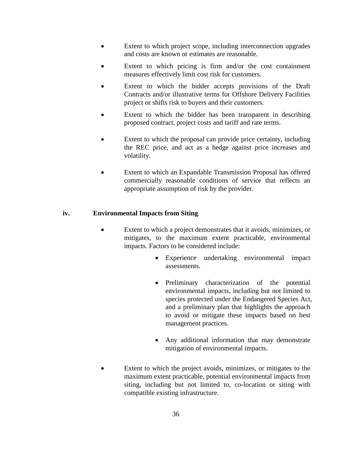- Extent to which project scope, including interconnection upgrades and costs are known or estimates are reasonable.
- Extent to which pricing is firm and/or the cost containment measures effectively limit cost risk for customers.
- Extent to which the bidder accepts provisions of the Draft Contracts and/or illustrative terms for Offshore Delivery Facilities project or shifts risk to buyers and their customers.
- Extent to which the bidder has been transparent in describing proposed contract, project costs and tariff and rate terms.
- Extent to which the proposal can provide price certainty, including the REC price, and act as a hedge against price increases and volatility.
- Extent to which an Expandable Transmission Proposal has offered commercially reasonable conditions of service that reflects an appropriate assumption of risk by the provider.

# **iv. Environmental Impacts from Siting**

- Extent to which a project demonstrates that it avoids, minimizes, or mitigates, to the maximum extent practicable, environmental impacts. Factors to be considered include:
	- Experience undertaking environmental impact assessments.
	- Preliminary characterization of the potential environmental impacts, including but not limited to species protected under the Endangered Species Act, and a preliminary plan that highlights the approach to avoid or mitigate these impacts based on best management practices.
	- Any additional information that may demonstrate mitigation of environmental impacts.
- Extent to which the project avoids, minimizes, or mitigates to the maximum extent practicable, potential environmental impacts from siting, including but not limited to, co-location or siting with compatible existing infrastructure.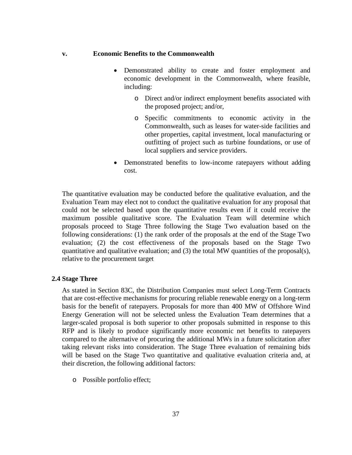#### **v. Economic Benefits to the Commonwealth**

- Demonstrated ability to create and foster employment and economic development in the Commonwealth, where feasible, including:
	- o Direct and/or indirect employment benefits associated with the proposed project; and/or,
	- o Specific commitments to economic activity in the Commonwealth, such as leases for water-side facilities and other properties, capital investment, local manufacturing or outfitting of project such as turbine foundations, or use of local suppliers and service providers.
- Demonstrated benefits to low-income ratepayers without adding cost.

The quantitative evaluation may be conducted before the qualitative evaluation, and the Evaluation Team may elect not to conduct the qualitative evaluation for any proposal that could not be selected based upon the quantitative results even if it could receive the maximum possible qualitative score. The Evaluation Team will determine which proposals proceed to Stage Three following the Stage Two evaluation based on the following considerations: (1) the rank order of the proposals at the end of the Stage Two evaluation; (2) the cost effectiveness of the proposals based on the Stage Two quantitative and qualitative evaluation; and (3) the total MW quantities of the proposal(s), relative to the procurement target

#### **2.4 Stage Three**

As stated in Section 83C, the Distribution Companies must select Long-Term Contracts that are cost-effective mechanisms for procuring reliable renewable energy on a long-term basis for the benefit of ratepayers. Proposals for more than 400 MW of Offshore Wind Energy Generation will not be selected unless the Evaluation Team determines that a larger-scaled proposal is both superior to other proposals submitted in response to this RFP and is likely to produce significantly more economic net benefits to ratepayers compared to the alternative of procuring the additional MWs in a future solicitation after taking relevant risks into consideration. The Stage Three evaluation of remaining bids will be based on the Stage Two quantitative and qualitative evaluation criteria and, at their discretion, the following additional factors:

o Possible portfolio effect;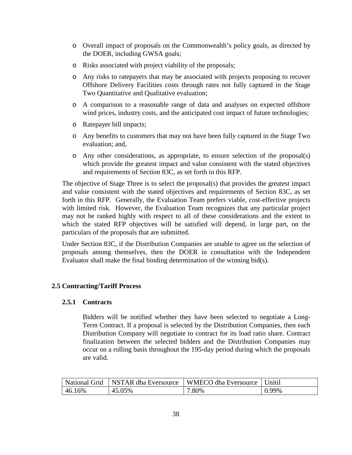- o Overall impact of proposals on the Commonwealth's policy goals, as directed by the DOER, including GWSA goals;
- o Risks associated with project viability of the proposals;
- o Any risks to ratepayers that may be associated with projects proposing to recover Offshore Delivery Facilities costs through rates not fully captured in the Stage Two Quantitative and Qualitative evaluation;
- o A comparison to a reasonable range of data and analyses on expected offshore wind prices, industry costs, and the anticipated cost impact of future technologies;
- o Ratepayer bill impacts;
- o Any benefits to customers that may not have been fully captured in the Stage Two evaluation; and,
- o Any other considerations, as appropriate, to ensure selection of the proposal(s) which provide the greatest impact and value consistent with the stated objectives and requirements of Section 83C, as set forth in this RFP.

The objective of Stage Three is to select the proposal(s) that provides the greatest impact and value consistent with the stated objectives and requirements of Section 83C, as set forth in this RFP. Generally, the Evaluation Team prefers viable, cost-effective projects with limited risk. However, the Evaluation Team recognizes that any particular project may not be ranked highly with respect to all of these considerations and the extent to which the stated RFP objectives will be satisfied will depend, in large part, on the particulars of the proposals that are submitted.

Under Section 83C, if the Distribution Companies are unable to agree on the selection of proposals among themselves, then the DOER in consultation with the Independent Evaluator shall make the final binding determination of the winning bid(s).

# **2.5 Contracting/Tariff Process**

# **2.5.1 Contracts**

Bidders will be notified whether they have been selected to negotiate a Long-Term Contract. If a proposal is selected by the Distribution Companies, then each Distribution Company will negotiate to contract for its load ratio share. Contract finalization between the selected bidders and the Distribution Companies may occur on a rolling basis throughout the 195-day period during which the proposals are valid.

|        |        | National Grid   NSTAR dba Eversource   WMECO dba Eversource   Unitil |       |
|--------|--------|----------------------------------------------------------------------|-------|
| 46.16% | 45.05% | 7.80%                                                                | 0.99% |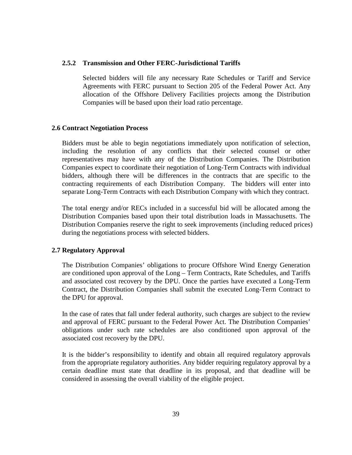#### **2.5.2 Transmission and Other FERC-Jurisdictional Tariffs**

Selected bidders will file any necessary Rate Schedules or Tariff and Service Agreements with FERC pursuant to Section 205 of the Federal Power Act. Any allocation of the Offshore Delivery Facilities projects among the Distribution Companies will be based upon their load ratio percentage.

#### **2.6 Contract Negotiation Process**

Bidders must be able to begin negotiations immediately upon notification of selection, including the resolution of any conflicts that their selected counsel or other representatives may have with any of the Distribution Companies. The Distribution Companies expect to coordinate their negotiation of Long-Term Contracts with individual bidders, although there will be differences in the contracts that are specific to the contracting requirements of each Distribution Company. The bidders will enter into separate Long-Term Contracts with each Distribution Company with which they contract.

The total energy and/or RECs included in a successful bid will be allocated among the Distribution Companies based upon their total distribution loads in Massachusetts. The Distribution Companies reserve the right to seek improvements (including reduced prices) during the negotiations process with selected bidders.

#### **2.7 Regulatory Approval**

The Distribution Companies' obligations to procure Offshore Wind Energy Generation are conditioned upon approval of the Long – Term Contracts, Rate Schedules, and Tariffs and associated cost recovery by the DPU. Once the parties have executed a Long-Term Contract, the Distribution Companies shall submit the executed Long-Term Contract to the DPU for approval.

In the case of rates that fall under federal authority, such charges are subject to the review and approval of FERC pursuant to the Federal Power Act. The Distribution Companies' obligations under such rate schedules are also conditioned upon approval of the associated cost recovery by the DPU.

It is the bidder's responsibility to identify and obtain all required regulatory approvals from the appropriate regulatory authorities. Any bidder requiring regulatory approval by a certain deadline must state that deadline in its proposal, and that deadline will be considered in assessing the overall viability of the eligible project.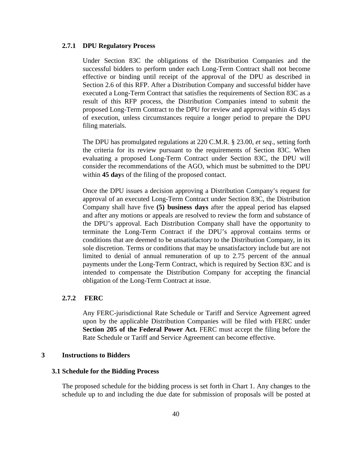#### **2.7.1 DPU Regulatory Process**

Under Section 83C the obligations of the Distribution Companies and the successful bidders to perform under each Long-Term Contract shall not become effective or binding until receipt of the approval of the DPU as described in Section 2.6 of this RFP. After a Distribution Company and successful bidder have executed a Long-Term Contract that satisfies the requirements of Section 83C as a result of this RFP process, the Distribution Companies intend to submit the proposed Long-Term Contract to the DPU for review and approval within 45 days of execution, unless circumstances require a longer period to prepare the DPU filing materials.

The DPU has promulgated regulations at 220 C.M.R. § 23.00, *et seq*., setting forth the criteria for its review pursuant to the requirements of Section 83C. When evaluating a proposed Long-Term Contract under Section 83C, the DPU will consider the recommendations of the AGO, which must be submitted to the DPU within **45 day**s of the filing of the proposed contact.

Once the DPU issues a decision approving a Distribution Company's request for approval of an executed Long-Term Contract under Section 83C, the Distribution Company shall have five **(5) business days** after the appeal period has elapsed and after any motions or appeals are resolved to review the form and substance of the DPU's approval. Each Distribution Company shall have the opportunity to terminate the Long-Term Contract if the DPU's approval contains terms or conditions that are deemed to be unsatisfactory to the Distribution Company, in its sole discretion. Terms or conditions that may be unsatisfactory include but are not limited to denial of annual remuneration of up to 2.75 percent of the annual payments under the Long-Term Contract, which is required by Section 83C and is intended to compensate the Distribution Company for accepting the financial obligation of the Long-Term Contract at issue.

#### **2.7.2 FERC**

Any FERC-jurisdictional Rate Schedule or Tariff and Service Agreement agreed upon by the applicable Distribution Companies will be filed with FERC under **Section 205 of the Federal Power Act.** FERC must accept the filing before the Rate Schedule or Tariff and Service Agreement can become effective.

#### **3 Instructions to Bidders**

#### **3.1 Schedule for the Bidding Process**

The proposed schedule for the bidding process is set forth in Chart 1. Any changes to the schedule up to and including the due date for submission of proposals will be posted at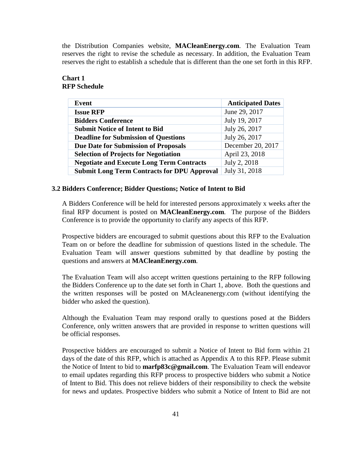the Distribution Companies website, **MACleanEnergy.com**. The Evaluation Team reserves the right to revise the schedule as necessary. In addition, the Evaluation Team reserves the right to establish a schedule that is different than the one set forth in this RFP.

## **Chart 1 RFP Schedule**

| Event                                              | <b>Anticipated Dates</b> |
|----------------------------------------------------|--------------------------|
| <b>Issue RFP</b>                                   | June 29, 2017            |
| <b>Bidders Conference</b>                          | July 19, 2017            |
| <b>Submit Notice of Intent to Bid</b>              | July 26, 2017            |
| <b>Deadline for Submission of Questions</b>        | July 26, 2017            |
| <b>Due Date for Submission of Proposals</b>        | December 20, 2017        |
| <b>Selection of Projects for Negotiation</b>       | April 23, 2018           |
| <b>Negotiate and Execute Long Term Contracts</b>   | July 2, 2018             |
| <b>Submit Long Term Contracts for DPU Approval</b> | July 31, 2018            |

#### **3.2 Bidders Conference; Bidder Questions; Notice of Intent to Bid**

A Bidders Conference will be held for interested persons approximately x weeks after the final RFP document is posted on **MACleanEnergy.com**. The purpose of the Bidders Conference is to provide the opportunity to clarify any aspects of this RFP.

Prospective bidders are encouraged to submit questions about this RFP to the Evaluation Team on or before the deadline for submission of questions listed in the schedule. The Evaluation Team will answer questions submitted by that deadline by posting the questions and answers at **MACleanEnergy.com**.

The Evaluation Team will also accept written questions pertaining to the RFP following the Bidders Conference up to the date set forth in Chart 1, above. Both the questions and the written responses will be posted on MAcleanenergy.com (without identifying the bidder who asked the question).

Although the Evaluation Team may respond orally to questions posed at the Bidders Conference, only written answers that are provided in response to written questions will be official responses.

Prospective bidders are encouraged to submit a Notice of Intent to Bid form within 21 days of the date of this RFP, which is attached as Appendix A to this RFP. Please submit the Notice of Intent to bid to **marfp83c@gmail.com**. The Evaluation Team will endeavor to email updates regarding this RFP process to prospective bidders who submit a Notice of Intent to Bid. This does not relieve bidders of their responsibility to check the website for news and updates. Prospective bidders who submit a Notice of Intent to Bid are not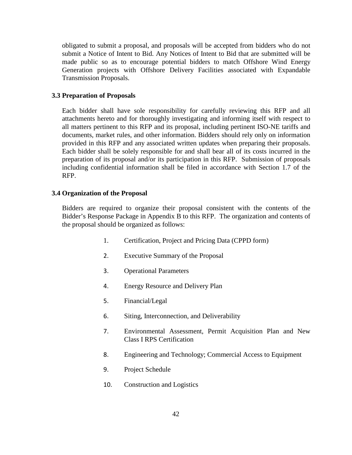obligated to submit a proposal, and proposals will be accepted from bidders who do not submit a Notice of Intent to Bid. Any Notices of Intent to Bid that are submitted will be made public so as to encourage potential bidders to match Offshore Wind Energy Generation projects with Offshore Delivery Facilities associated with Expandable Transmission Proposals.

#### **3.3 Preparation of Proposals**

Each bidder shall have sole responsibility for carefully reviewing this RFP and all attachments hereto and for thoroughly investigating and informing itself with respect to all matters pertinent to this RFP and its proposal, including pertinent ISO-NE tariffs and documents, market rules, and other information. Bidders should rely only on information provided in this RFP and any associated written updates when preparing their proposals. Each bidder shall be solely responsible for and shall bear all of its costs incurred in the preparation of its proposal and/or its participation in this RFP. Submission of proposals including confidential information shall be filed in accordance with Section 1.7 of the RFP.

#### **3.4 Organization of the Proposal**

Bidders are required to organize their proposal consistent with the contents of the Bidder's Response Package in Appendix B to this RFP. The organization and contents of the proposal should be organized as follows:

- 1. Certification, Project and Pricing Data (CPPD form)
- 2. Executive Summary of the Proposal
- 3. Operational Parameters
- 4. Energy Resource and Delivery Plan
- 5. Financial/Legal
- 6. Siting, Interconnection, and Deliverability
- 7. Environmental Assessment, Permit Acquisition Plan and New Class I RPS Certification
- 8. Engineering and Technology; Commercial Access to Equipment
- 9. Project Schedule
- 10. Construction and Logistics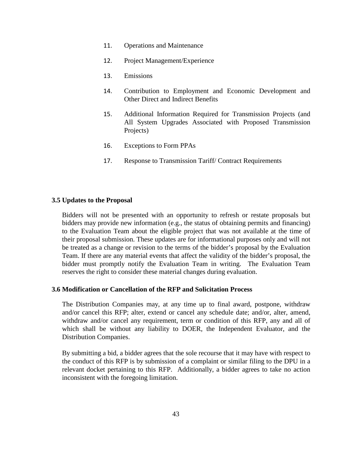- 11. Operations and Maintenance
- 12. Project Management/Experience
- 13. Emissions
- 14. Contribution to Employment and Economic Development and Other Direct and Indirect Benefits
- 15. Additional Information Required for Transmission Projects (and All System Upgrades Associated with Proposed Transmission Projects)
- 16. Exceptions to Form PPAs
- 17. Response to Transmission Tariff/ Contract Requirements

#### **3.5 Updates to the Proposal**

Bidders will not be presented with an opportunity to refresh or restate proposals but bidders may provide new information (e.g., the status of obtaining permits and financing) to the Evaluation Team about the eligible project that was not available at the time of their proposal submission. These updates are for informational purposes only and will not be treated as a change or revision to the terms of the bidder's proposal by the Evaluation Team. If there are any material events that affect the validity of the bidder's proposal, the bidder must promptly notify the Evaluation Team in writing. The Evaluation Team reserves the right to consider these material changes during evaluation.

#### **3.6 Modification or Cancellation of the RFP and Solicitation Process**

The Distribution Companies may, at any time up to final award, postpone, withdraw and/or cancel this RFP; alter, extend or cancel any schedule date; and/or, alter, amend, withdraw and/or cancel any requirement, term or condition of this RFP, any and all of which shall be without any liability to DOER, the Independent Evaluator, and the Distribution Companies.

By submitting a bid, a bidder agrees that the sole recourse that it may have with respect to the conduct of this RFP is by submission of a complaint or similar filing to the DPU in a relevant docket pertaining to this RFP. Additionally, a bidder agrees to take no action inconsistent with the foregoing limitation.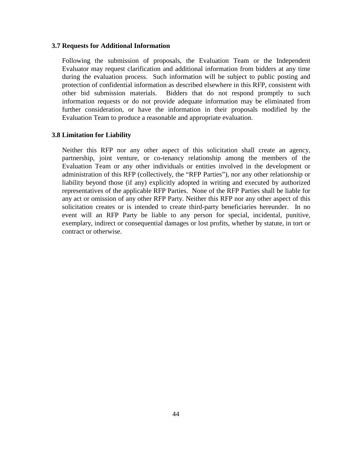#### **3.7 Requests for Additional Information**

Following the submission of proposals, the Evaluation Team or the Independent Evaluator may request clarification and additional information from bidders at any time during the evaluation process. Such information will be subject to public posting and protection of confidential information as described elsewhere in this RFP, consistent with other bid submission materials. Bidders that do not respond promptly to such information requests or do not provide adequate information may be eliminated from further consideration, or have the information in their proposals modified by the Evaluation Team to produce a reasonable and appropriate evaluation.

#### **3.8 Limitation for Liability**

Neither this RFP nor any other aspect of this solicitation shall create an agency, partnership, joint venture, or co-tenancy relationship among the members of the Evaluation Team or any other individuals or entities involved in the development or administration of this RFP (collectively, the "RFP Parties"), nor any other relationship or liability beyond those (if any) explicitly adopted in writing and executed by authorized representatives of the applicable RFP Parties. None of the RFP Parties shall be liable for any act or omission of any other RFP Party. Neither this RFP nor any other aspect of this solicitation creates or is intended to create third-party beneficiaries hereunder. In no event will an RFP Party be liable to any person for special, incidental, punitive, exemplary, indirect or consequential damages or lost profits, whether by statute, in tort or contract or otherwise.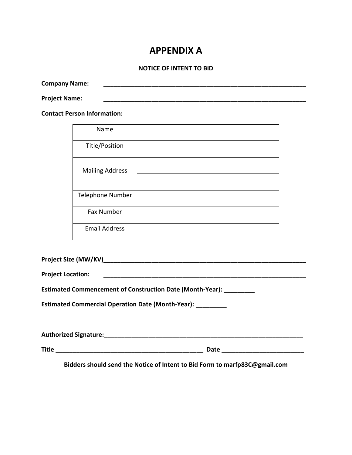# **APPENDIX A**

## **NOTICE OF INTENT TO BID**

**Company Name:** \_\_\_\_\_\_\_\_\_\_\_\_\_\_\_\_\_\_\_\_\_\_\_\_\_\_\_\_\_\_\_\_\_\_\_\_\_\_\_\_\_\_\_\_\_\_\_\_\_\_\_\_\_\_\_\_\_\_\_

**Project Name:** \_\_\_\_\_\_\_\_\_\_\_\_\_\_\_\_\_\_\_\_\_\_\_\_\_\_\_\_\_\_\_\_\_\_\_\_\_\_\_\_\_\_\_\_\_\_\_\_\_\_\_\_\_\_\_\_\_\_\_

**Contact Person Information:**

| Name                   |  |
|------------------------|--|
| Title/Position         |  |
| <b>Mailing Address</b> |  |
|                        |  |
| Telephone Number       |  |
| <b>Fax Number</b>      |  |
| <b>Email Address</b>   |  |

| <b>Project Location:</b>                                                                                        |  |
|-----------------------------------------------------------------------------------------------------------------|--|
| <b>Estimated Commencement of Construction Date (Month-Year):</b>                                                |  |
| Estimated Commercial Operation Date (Month-Year): ________                                                      |  |
| Authorized Signature: Manual Communication of Authorized Signature: Manual Communication of Authorized Signatur |  |
|                                                                                                                 |  |

**Bidders should send the Notice of Intent to Bid Form to marfp83C@gmail.com**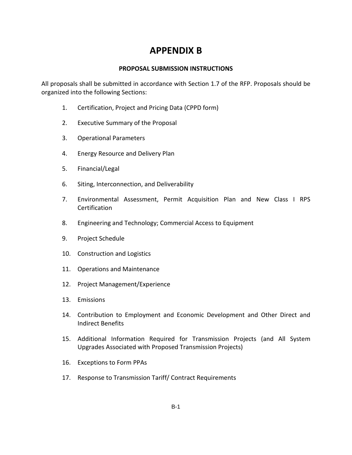# **APPENDIX B**

# **PROPOSAL SUBMISSION INSTRUCTIONS**

All proposals shall be submitted in accordance with Section 1.7 of the RFP. Proposals should be organized into the following Sections:

- 1. Certification, Project and Pricing Data (CPPD form)
- 2. Executive Summary of the Proposal
- 3. Operational Parameters
- 4. Energy Resource and Delivery Plan
- 5. Financial/Legal
- 6. Siting, Interconnection, and Deliverability
- 7. Environmental Assessment, Permit Acquisition Plan and New Class I RPS **Certification**
- 8. Engineering and Technology; Commercial Access to Equipment
- 9. Project Schedule
- 10. Construction and Logistics
- 11. Operations and Maintenance
- 12. Project Management/Experience
- 13. Emissions
- 14. Contribution to Employment and Economic Development and Other Direct and Indirect Benefits
- 15. Additional Information Required for Transmission Projects (and All System Upgrades Associated with Proposed Transmission Projects)
- 16. Exceptions to Form PPAs
- 17. Response to Transmission Tariff/ Contract Requirements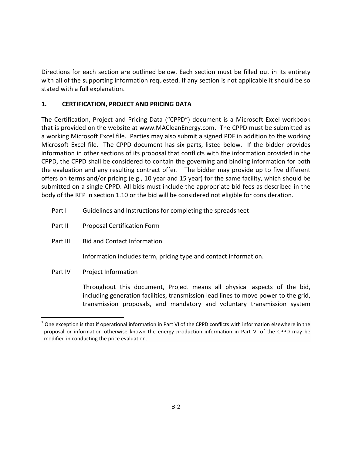Directions for each section are outlined below. Each section must be filled out in its entirety with all of the supporting information requested. If any section is not applicable it should be so stated with a full explanation.

# **1. CERTIFICATION, PROJECT AND PRICING DATA**

The Certification, Project and Pricing Data ("CPPD") document is a Microsoft Excel workbook that is provided on the website at www.MACleanEnergy.com. The CPPD must be submitted as a working Microsoft Excel file. Parties may also submit a signed PDF in addition to the working Microsoft Excel file. The CPPD document has six parts, listed below. If the bidder provides information in other sections of its proposal that conflicts with the information provided in the CPPD, the CPPD shall be considered to contain the governing and binding information for both the evaluation and any resulting contract offer. $1$  The bidder may provide up to five different offers on terms and/or pricing (e.g., 10 year and 15 year) for the same facility, which should be submitted on a single CPPD. All bids must include the appropriate bid fees as described in the body of the RFP in section 1.10 or the bid will be considered not eligible for consideration.

- Part I Guidelines and Instructions for completing the spreadsheet
- Part II Proposal Certification Form
- Part III Bid and Contact Information

Information includes term, pricing type and contact information.

Part IV Project Information

Throughout this document, Project means all physical aspects of the bid, including generation facilities, transmission lead lines to move power to the grid, transmission proposals, and mandatory and voluntary transmission system

<span id="page-53-0"></span> $1$  One exception is that if operational information in Part VI of the CPPD conflicts with information elsewhere in the proposal or information otherwise known the energy production information in Part VI of the CPPD may be modified in conducting the price evaluation.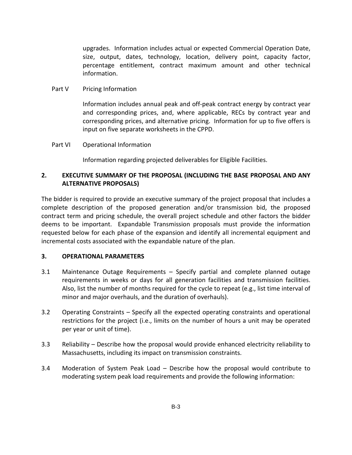upgrades. Information includes actual or expected Commercial Operation Date, size, output, dates, technology, location, delivery point, capacity factor, percentage entitlement, contract maximum amount and other technical information.

## Part V Pricing Information

Information includes annual peak and off-peak contract energy by contract year and corresponding prices, and, where applicable, RECs by contract year and corresponding prices, and alternative pricing. Information for up to five offers is input on five separate worksheets in the CPPD.

Part VI Operational Information

Information regarding projected deliverables for Eligible Facilities.

# **2. EXECUTIVE SUMMARY OF THE PROPOSAL (INCLUDING THE BASE PROPOSAL AND ANY ALTERNATIVE PROPOSALS)**

The bidder is required to provide an executive summary of the project proposal that includes a complete description of the proposed generation and/or transmission bid, the proposed contract term and pricing schedule, the overall project schedule and other factors the bidder deems to be important. Expandable Transmission proposals must provide the information requested below for each phase of the expansion and identify all incremental equipment and incremental costs associated with the expandable nature of the plan.

## **3. OPERATIONAL PARAMETERS**

- 3.1 Maintenance Outage Requirements Specify partial and complete planned outage requirements in weeks or days for all generation facilities and transmission facilities. Also, list the number of months required for the cycle to repeat (e.g., list time interval of minor and major overhauls, and the duration of overhauls).
- 3.2 Operating Constraints Specify all the expected operating constraints and operational restrictions for the project (i.e., limits on the number of hours a unit may be operated per year or unit of time).
- 3.3 Reliability Describe how the proposal would provide enhanced electricity reliability to Massachusetts, including its impact on transmission constraints.
- 3.4 Moderation of System Peak Load Describe how the proposal would contribute to moderating system peak load requirements and provide the following information: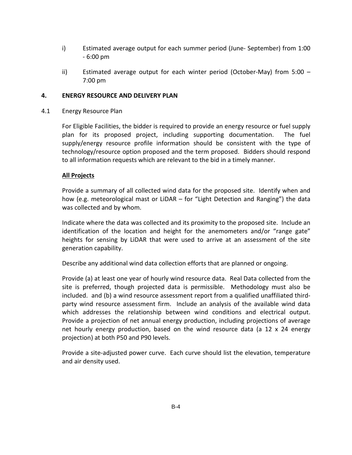- i) Estimated average output for each summer period (June- September) from 1:00 - 6:00 pm
- ii) Estimated average output for each winter period (October-May) from 5:00 7:00 pm

## **4. ENERGY RESOURCE AND DELIVERY PLAN**

4.1 Energy Resource Plan

For Eligible Facilities, the bidder is required to provide an energy resource or fuel supply plan for its proposed project, including supporting documentation. The fuel supply/energy resource profile information should be consistent with the type of technology/resource option proposed and the term proposed. Bidders should respond to all information requests which are relevant to the bid in a timely manner.

## **All Projects**

Provide a summary of all collected wind data for the proposed site. Identify when and how (e.g. meteorological mast or LiDAR – for "Light Detection and Ranging") the data was collected and by whom.

Indicate where the data was collected and its proximity to the proposed site. Include an identification of the location and height for the anemometers and/or "range gate" heights for sensing by LiDAR that were used to arrive at an assessment of the site generation capability.

Describe any additional wind data collection efforts that are planned or ongoing.

Provide (a) at least one year of hourly wind resource data. Real Data collected from the site is preferred, though projected data is permissible. Methodology must also be included. and (b) a wind resource assessment report from a qualified unaffiliated thirdparty wind resource assessment firm. Include an analysis of the available wind data which addresses the relationship between wind conditions and electrical output. Provide a projection of net annual energy production, including projections of average net hourly energy production, based on the wind resource data (a 12 x 24 energy projection) at both P50 and P90 levels.

Provide a site-adjusted power curve. Each curve should list the elevation, temperature and air density used.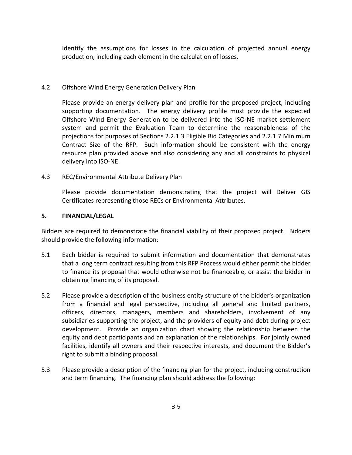Identify the assumptions for losses in the calculation of projected annual energy production, including each element in the calculation of losses.

## 4.2 Offshore Wind Energy Generation Delivery Plan

Please provide an energy delivery plan and profile for the proposed project, including supporting documentation. The energy delivery profile must provide the expected Offshore Wind Energy Generation to be delivered into the ISO-NE market settlement system and permit the Evaluation Team to determine the reasonableness of the projections for purposes of Sections 2.2.1.3 Eligible Bid Categories and 2.2.1.7 Minimum Contract Size of the RFP. Such information should be consistent with the energy resource plan provided above and also considering any and all constraints to physical delivery into ISO-NE.

4.3 REC/Environmental Attribute Delivery Plan

Please provide documentation demonstrating that the project will Deliver GIS Certificates representing those RECs or Environmental Attributes.

## **5. FINANCIAL/LEGAL**

Bidders are required to demonstrate the financial viability of their proposed project. Bidders should provide the following information:

- 5.1 Each bidder is required to submit information and documentation that demonstrates that a long term contract resulting from this RFP Process would either permit the bidder to finance its proposal that would otherwise not be financeable, or assist the bidder in obtaining financing of its proposal.
- 5.2 Please provide a description of the business entity structure of the bidder's organization from a financial and legal perspective, including all general and limited partners, officers, directors, managers, members and shareholders, involvement of any subsidiaries supporting the project, and the providers of equity and debt during project development. Provide an organization chart showing the relationship between the equity and debt participants and an explanation of the relationships. For jointly owned facilities, identify all owners and their respective interests, and document the Bidder's right to submit a binding proposal.
- 5.3 Please provide a description of the financing plan for the project, including construction and term financing. The financing plan should address the following: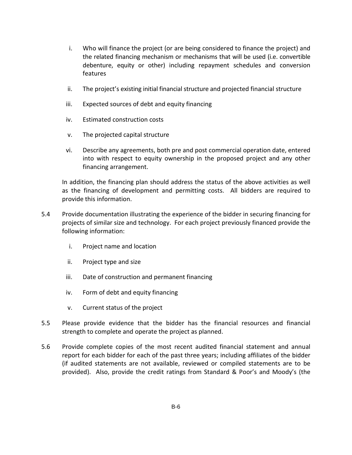- i. Who will finance the project (or are being considered to finance the project) and the related financing mechanism or mechanisms that will be used (i.e. convertible debenture, equity or other) including repayment schedules and conversion features
- ii. The project's existing initial financial structure and projected financial structure
- iii. Expected sources of debt and equity financing
- iv. Estimated construction costs
- v. The projected capital structure
- vi. Describe any agreements, both pre and post commercial operation date, entered into with respect to equity ownership in the proposed project and any other financing arrangement.

In addition, the financing plan should address the status of the above activities as well as the financing of development and permitting costs. All bidders are required to provide this information.

- 5.4 Provide documentation illustrating the experience of the bidder in securing financing for projects of similar size and technology. For each project previously financed provide the following information:
	- i. Project name and location
	- ii. Project type and size
	- iii. Date of construction and permanent financing
	- iv. Form of debt and equity financing
	- v. Current status of the project
- 5.5 Please provide evidence that the bidder has the financial resources and financial strength to complete and operate the project as planned.
- 5.6 Provide complete copies of the most recent audited financial statement and annual report for each bidder for each of the past three years; including affiliates of the bidder (if audited statements are not available, reviewed or compiled statements are to be provided). Also, provide the credit ratings from Standard & Poor's and Moody's (the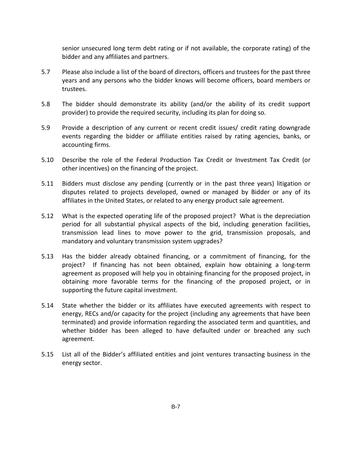senior unsecured long term debt rating or if not available, the corporate rating) of the bidder and any affiliates and partners.

- 5.7 Please also include a list of the board of directors, officers and trustees for the past three years and any persons who the bidder knows will become officers, board members or trustees.
- 5.8 The bidder should demonstrate its ability (and/or the ability of its credit support provider) to provide the required security, including its plan for doing so.
- 5.9 Provide a description of any current or recent credit issues/ credit rating downgrade events regarding the bidder or affiliate entities raised by rating agencies, banks, or accounting firms.
- 5.10 Describe the role of the Federal Production Tax Credit or Investment Tax Credit (or other incentives) on the financing of the project.
- 5.11 Bidders must disclose any pending (currently or in the past three years) litigation or disputes related to projects developed, owned or managed by Bidder or any of its affiliates in the United States, or related to any energy product sale agreement.
- 5.12 What is the expected operating life of the proposed project? What is the depreciation period for all substantial physical aspects of the bid, including generation facilities, transmission lead lines to move power to the grid, transmission proposals, and mandatory and voluntary transmission system upgrades?
- 5.13 Has the bidder already obtained financing, or a commitment of financing, for the project? If financing has not been obtained, explain how obtaining a long-term agreement as proposed will help you in obtaining financing for the proposed project, in obtaining more favorable terms for the financing of the proposed project, or in supporting the future capital investment.
- 5.14 State whether the bidder or its affiliates have executed agreements with respect to energy, RECs and/or capacity for the project (including any agreements that have been terminated) and provide information regarding the associated term and quantities, and whether bidder has been alleged to have defaulted under or breached any such agreement.
- 5.15 List all of the Bidder's affiliated entities and joint ventures transacting business in the energy sector.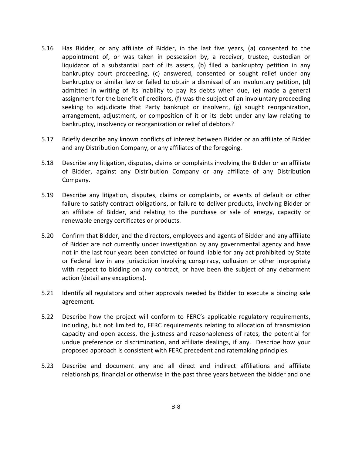- 5.16 Has Bidder, or any affiliate of Bidder, in the last five years, (a) consented to the appointment of, or was taken in possession by, a receiver, trustee, custodian or liquidator of a substantial part of its assets, (b) filed a bankruptcy petition in any bankruptcy court proceeding, (c) answered, consented or sought relief under any bankruptcy or similar law or failed to obtain a dismissal of an involuntary petition, (d) admitted in writing of its inability to pay its debts when due, (e) made a general assignment for the benefit of creditors, (f) was the subject of an involuntary proceeding seeking to adjudicate that Party bankrupt or insolvent, (g) sought reorganization, arrangement, adjustment, or composition of it or its debt under any law relating to bankruptcy, insolvency or reorganization or relief of debtors?
- 5.17 Briefly describe any known conflicts of interest between Bidder or an affiliate of Bidder and any Distribution Company, or any affiliates of the foregoing.
- 5.18 Describe any litigation, disputes, claims or complaints involving the Bidder or an affiliate of Bidder, against any Distribution Company or any affiliate of any Distribution Company.
- 5.19 Describe any litigation, disputes, claims or complaints, or events of default or other failure to satisfy contract obligations, or failure to deliver products, involving Bidder or an affiliate of Bidder, and relating to the purchase or sale of energy, capacity or renewable energy certificates or products.
- 5.20 Confirm that Bidder, and the directors, employees and agents of Bidder and any affiliate of Bidder are not currently under investigation by any governmental agency and have not in the last four years been convicted or found liable for any act prohibited by State or Federal law in any jurisdiction involving conspiracy, collusion or other impropriety with respect to bidding on any contract, or have been the subject of any debarment action (detail any exceptions).
- 5.21 Identify all regulatory and other approvals needed by Bidder to execute a binding sale agreement.
- 5.22 Describe how the project will conform to FERC's applicable regulatory requirements, including, but not limited to, FERC requirements relating to allocation of transmission capacity and open access, the justness and reasonableness of rates, the potential for undue preference or discrimination, and affiliate dealings, if any. Describe how your proposed approach is consistent with FERC precedent and ratemaking principles.
- 5.23 Describe and document any and all direct and indirect affiliations and affiliate relationships, financial or otherwise in the past three years between the bidder and one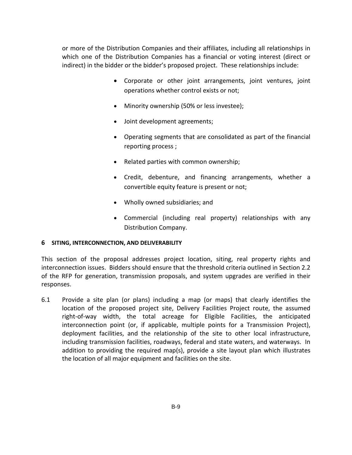or more of the Distribution Companies and their affiliates, including all relationships in which one of the Distribution Companies has a financial or voting interest (direct or indirect) in the bidder or the bidder's proposed project. These relationships include:

- Corporate or other joint arrangements, joint ventures, joint operations whether control exists or not;
- Minority ownership (50% or less investee);
- Joint development agreements;
- Operating segments that are consolidated as part of the financial reporting process ;
- Related parties with common ownership;
- Credit, debenture, and financing arrangements, whether a convertible equity feature is present or not;
- Wholly owned subsidiaries; and
- Commercial (including real property) relationships with any Distribution Company.

## **6 SITING, INTERCONNECTION, AND DELIVERABILITY**

This section of the proposal addresses project location, siting, real property rights and interconnection issues. Bidders should ensure that the threshold criteria outlined in Section 2.2 of the RFP for generation, transmission proposals, and system upgrades are verified in their responses.

6.1 Provide a site plan (or plans) including a map (or maps) that clearly identifies the location of the proposed project site, Delivery Facilities Project route, the assumed right-of-way width, the total acreage for Eligible Facilities, the anticipated interconnection point (or, if applicable, multiple points for a Transmission Project), deployment facilities, and the relationship of the site to other local infrastructure, including transmission facilities, roadways, federal and state waters, and waterways. In addition to providing the required map(s), provide a site layout plan which illustrates the location of all major equipment and facilities on the site.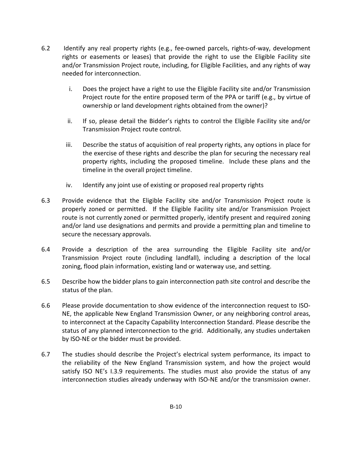- 6.2 Identify any real property rights (e.g., fee-owned parcels, rights-of-way, development rights or easements or leases) that provide the right to use the Eligible Facility site and/or Transmission Project route, including, for Eligible Facilities, and any rights of way needed for interconnection.
	- i. Does the project have a right to use the Eligible Facility site and/or Transmission Project route for the entire proposed term of the PPA or tariff (e.g., by virtue of ownership or land development rights obtained from the owner)?
	- ii. If so, please detail the Bidder's rights to control the Eligible Facility site and/or Transmission Project route control.
	- iii. Describe the status of acquisition of real property rights, any options in place for the exercise of these rights and describe the plan for securing the necessary real property rights, including the proposed timeline. Include these plans and the timeline in the overall project timeline.
	- iv. Identify any joint use of existing or proposed real property rights
- 6.3 Provide evidence that the Eligible Facility site and/or Transmission Project route is properly zoned or permitted. If the Eligible Facility site and/or Transmission Project route is not currently zoned or permitted properly, identify present and required zoning and/or land use designations and permits and provide a permitting plan and timeline to secure the necessary approvals.
- 6.4 Provide a description of the area surrounding the Eligible Facility site and/or Transmission Project route (including landfall), including a description of the local zoning, flood plain information, existing land or waterway use, and setting.
- 6.5 Describe how the bidder plans to gain interconnection path site control and describe the status of the plan.
- 6.6 Please provide documentation to show evidence of the interconnection request to ISO-NE, the applicable New England Transmission Owner, or any neighboring control areas, to interconnect at the Capacity Capability Interconnection Standard. Please describe the status of any planned interconnection to the grid. Additionally, any studies undertaken by ISO-NE or the bidder must be provided.
- 6.7 The studies should describe the Project's electrical system performance, its impact to the reliability of the New England Transmission system, and how the project would satisfy ISO NE's I.3.9 requirements. The studies must also provide the status of any interconnection studies already underway with ISO-NE and/or the transmission owner.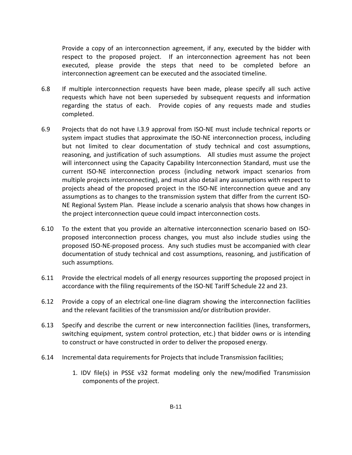Provide a copy of an interconnection agreement, if any, executed by the bidder with respect to the proposed project. If an interconnection agreement has not been executed, please provide the steps that need to be completed before an interconnection agreement can be executed and the associated timeline.

- 6.8 If multiple interconnection requests have been made, please specify all such active requests which have not been superseded by subsequent requests and information regarding the status of each. Provide copies of any requests made and studies completed.
- 6.9 Projects that do not have I.3.9 approval from ISO-NE must include technical reports or system impact studies that approximate the ISO-NE interconnection process, including but not limited to clear documentation of study technical and cost assumptions, reasoning, and justification of such assumptions. All studies must assume the project will interconnect using the Capacity Capability Interconnection Standard, must use the current ISO-NE interconnection process (including network impact scenarios from multiple projects interconnecting), and must also detail any assumptions with respect to projects ahead of the proposed project in the ISO-NE interconnection queue and any assumptions as to changes to the transmission system that differ from the current ISO-NE Regional System Plan. Please include a scenario analysis that shows how changes in the project interconnection queue could impact interconnection costs.
- 6.10 To the extent that you provide an alternative interconnection scenario based on ISOproposed interconnection process changes, you must also include studies using the proposed ISO-NE-proposed process. Any such studies must be accompanied with clear documentation of study technical and cost assumptions, reasoning, and justification of such assumptions.
- 6.11 Provide the electrical models of all energy resources supporting the proposed project in accordance with the filing requirements of the ISO-NE Tariff Schedule 22 and 23.
- 6.12 Provide a copy of an electrical one-line diagram showing the interconnection facilities and the relevant facilities of the transmission and/or distribution provider.
- 6.13 Specify and describe the current or new interconnection facilities (lines, transformers, switching equipment, system control protection, etc.) that bidder owns or is intending to construct or have constructed in order to deliver the proposed energy.
- 6.14 Incremental data requirements for Projects that include Transmission facilities;
	- 1. IDV file(s) in PSSE v32 format modeling only the new/modified Transmission components of the project.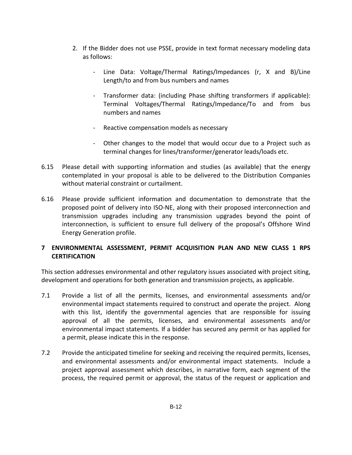- 2. If the Bidder does not use PSSE, provide in text format necessary modeling data as follows:
	- Line Data: Voltage/Thermal Ratings/Impedances (r, X and B)/Line Length/to and from bus numbers and names
	- Transformer data: (including Phase shifting transformers if applicable): Terminal Voltages/Thermal Ratings/Impedance/To and from bus numbers and names
	- Reactive compensation models as necessary
	- Other changes to the model that would occur due to a Project such as terminal changes for lines/transformer/generator leads/loads etc.
- 6.15 Please detail with supporting information and studies (as available) that the energy contemplated in your proposal is able to be delivered to the Distribution Companies without material constraint or curtailment.
- 6.16 Please provide sufficient information and documentation to demonstrate that the proposed point of delivery into ISO-NE, along with their proposed interconnection and transmission upgrades including any transmission upgrades beyond the point of interconnection, is sufficient to ensure full delivery of the proposal's Offshore Wind Energy Generation profile.

# **7 ENVIRONMENTAL ASSESSMENT, PERMIT ACQUISITION PLAN AND NEW CLASS 1 RPS CERTIFICATION**

This section addresses environmental and other regulatory issues associated with project siting, development and operations for both generation and transmission projects, as applicable.

- 7.1 Provide a list of all the permits, licenses, and environmental assessments and/or environmental impact statements required to construct and operate the project. Along with this list, identify the governmental agencies that are responsible for issuing approval of all the permits, licenses, and environmental assessments and/or environmental impact statements. If a bidder has secured any permit or has applied for a permit, please indicate this in the response.
- 7.2 Provide the anticipated timeline for seeking and receiving the required permits, licenses, and environmental assessments and/or environmental impact statements. Include a project approval assessment which describes, in narrative form, each segment of the process, the required permit or approval, the status of the request or application and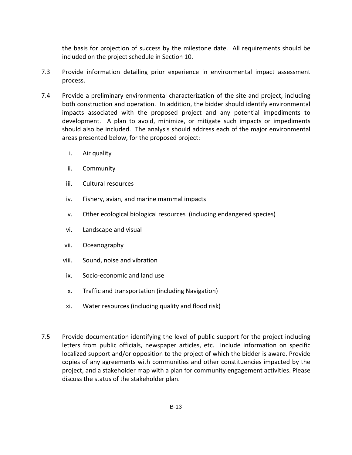the basis for projection of success by the milestone date. All requirements should be included on the project schedule in Section 10.

- 7.3 Provide information detailing prior experience in environmental impact assessment process.
- 7.4 Provide a preliminary environmental characterization of the site and project, including both construction and operation. In addition, the bidder should identify environmental impacts associated with the proposed project and any potential impediments to development. A plan to avoid, minimize, or mitigate such impacts or impediments should also be included. The analysis should address each of the major environmental areas presented below, for the proposed project:
	- i. Air quality
	- ii. Community
	- iii. Cultural resources
	- iv. Fishery, avian, and marine mammal impacts
	- v. Other ecological biological resources (including endangered species)
	- vi. Landscape and visual
	- vii. Oceanography
	- viii. Sound, noise and vibration
	- ix. Socio-economic and land use
	- x. Traffic and transportation (including Navigation)
	- xi. Water resources (including quality and flood risk)
- 7.5 Provide documentation identifying the level of public support for the project including letters from public officials, newspaper articles, etc. Include information on specific localized support and/or opposition to the project of which the bidder is aware. Provide copies of any agreements with communities and other constituencies impacted by the project, and a stakeholder map with a plan for community engagement activities. Please discuss the status of the stakeholder plan.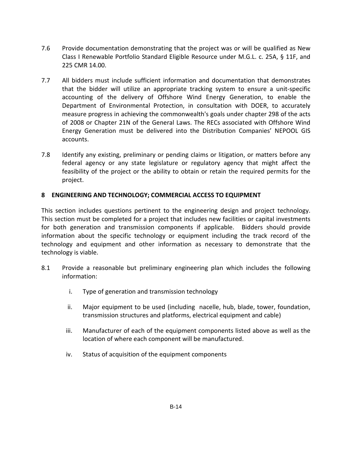- 7.6 Provide documentation demonstrating that the project was or will be qualified as New Class I Renewable Portfolio Standard Eligible Resource under M.G.L. c. 25A, § 11F, and 225 CMR 14.00.
- 7.7 All bidders must include sufficient information and documentation that demonstrates that the bidder will utilize an appropriate tracking system to ensure a unit-specific accounting of the delivery of Offshore Wind Energy Generation, to enable the Department of Environmental Protection, in consultation with DOER, to accurately measure progress in achieving the commonwealth's goals under chapter 298 of the acts of 2008 or Chapter 21N of the General Laws. The RECs associated with Offshore Wind Energy Generation must be delivered into the Distribution Companies' NEPOOL GIS accounts.
- 7.8 Identify any existing, preliminary or pending claims or litigation, or matters before any federal agency or any state legislature or regulatory agency that might affect the feasibility of the project or the ability to obtain or retain the required permits for the project.

# **8 ENGINEERING AND TECHNOLOGY; COMMERCIAL ACCESS TO EQUIPMENT**

This section includes questions pertinent to the engineering design and project technology. This section must be completed for a project that includes new facilities or capital investments for both generation and transmission components if applicable. Bidders should provide information about the specific technology or equipment including the track record of the technology and equipment and other information as necessary to demonstrate that the technology is viable.

- 8.1 Provide a reasonable but preliminary engineering plan which includes the following information:
	- i. Type of generation and transmission technology
	- ii. Major equipment to be used (including nacelle, hub, blade, tower, foundation, transmission structures and platforms, electrical equipment and cable)
	- iii. Manufacturer of each of the equipment components listed above as well as the location of where each component will be manufactured.
	- iv. Status of acquisition of the equipment components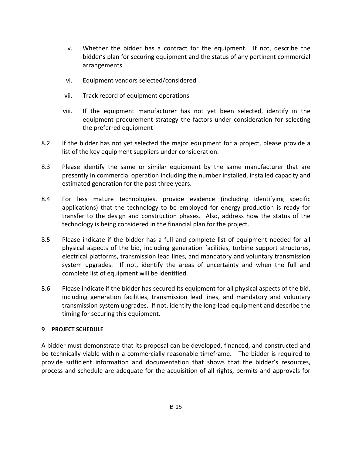- v. Whether the bidder has a contract for the equipment. If not, describe the bidder's plan for securing equipment and the status of any pertinent commercial arrangements
- vi. Equipment vendors selected/considered
- vii. Track record of equipment operations
- viii. If the equipment manufacturer has not yet been selected, identify in the equipment procurement strategy the factors under consideration for selecting the preferred equipment
- 8.2 If the bidder has not yet selected the major equipment for a project, please provide a list of the key equipment suppliers under consideration.
- 8.3 Please identify the same or similar equipment by the same manufacturer that are presently in commercial operation including the number installed, installed capacity and estimated generation for the past three years.
- 8.4 For less mature technologies, provide evidence (including identifying specific applications) that the technology to be employed for energy production is ready for transfer to the design and construction phases. Also, address how the status of the technology is being considered in the financial plan for the project.
- 8.5 Please indicate if the bidder has a full and complete list of equipment needed for all physical aspects of the bid, including generation facilities, turbine support structures, electrical platforms, transmission lead lines, and mandatory and voluntary transmission system upgrades. If not, identify the areas of uncertainty and when the full and complete list of equipment will be identified.
- 8.6 Please indicate if the bidder has secured its equipment for all physical aspects of the bid, including generation facilities, transmission lead lines, and mandatory and voluntary transmission system upgrades. If not, identify the long-lead equipment and describe the timing for securing this equipment.

## **9 PROJECT SCHEDULE**

A bidder must demonstrate that its proposal can be developed, financed, and constructed and be technically viable within a commercially reasonable timeframe. The bidder is required to provide sufficient information and documentation that shows that the bidder's resources, process and schedule are adequate for the acquisition of all rights, permits and approvals for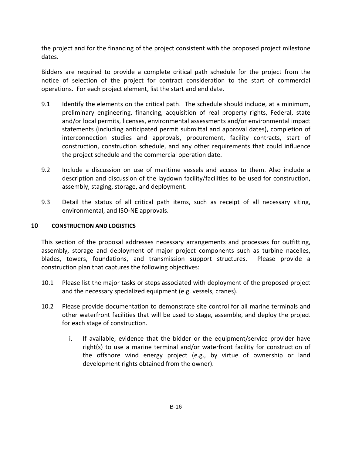the project and for the financing of the project consistent with the proposed project milestone dates.

Bidders are required to provide a complete critical path schedule for the project from the notice of selection of the project for contract consideration to the start of commercial operations. For each project element, list the start and end date.

- 9.1 Identify the elements on the critical path. The schedule should include, at a minimum, preliminary engineering, financing, acquisition of real property rights, Federal, state and/or local permits, licenses, environmental assessments and/or environmental impact statements (including anticipated permit submittal and approval dates), completion of interconnection studies and approvals, procurement, facility contracts, start of construction, construction schedule, and any other requirements that could influence the project schedule and the commercial operation date.
- 9.2 Include a discussion on use of maritime vessels and access to them. Also include a description and discussion of the laydown facility/facilities to be used for construction, assembly, staging, storage, and deployment.
- 9.3 Detail the status of all critical path items, such as receipt of all necessary siting, environmental, and ISO-NE approvals.

# **10 CONSTRUCTION AND LOGISTICS**

This section of the proposal addresses necessary arrangements and processes for outfitting, assembly, storage and deployment of major project components such as turbine nacelles, blades, towers, foundations, and transmission support structures. Please provide a construction plan that captures the following objectives:

- 10.1 Please list the major tasks or steps associated with deployment of the proposed project and the necessary specialized equipment (e.g. vessels, cranes).
- 10.2 Please provide documentation to demonstrate site control for all marine terminals and other waterfront facilities that will be used to stage, assemble, and deploy the project for each stage of construction.
	- i. If available, evidence that the bidder or the equipment/service provider have right(s) to use a marine terminal and/or waterfront facility for construction of the offshore wind energy project (e.g., by virtue of ownership or land development rights obtained from the owner).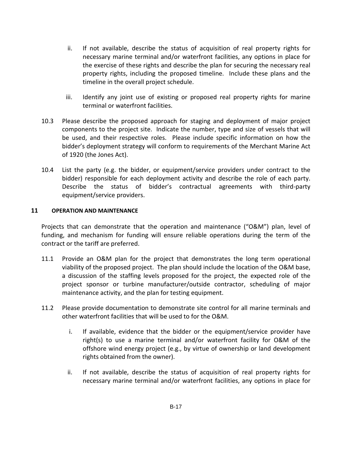- ii. If not available, describe the status of acquisition of real property rights for necessary marine terminal and/or waterfront facilities, any options in place for the exercise of these rights and describe the plan for securing the necessary real property rights, including the proposed timeline. Include these plans and the timeline in the overall project schedule.
- iii. Identify any joint use of existing or proposed real property rights for marine terminal or waterfront facilities.
- 10.3 Please describe the proposed approach for staging and deployment of major project components to the project site. Indicate the number, type and size of vessels that will be used, and their respective roles. Please include specific information on how the bidder's deployment strategy will conform to requirements of the Merchant Marine Act of 1920 (the Jones Act).
- 10.4 List the party (e.g. the bidder, or equipment/service providers under contract to the bidder) responsible for each deployment activity and describe the role of each party. Describe the status of bidder's contractual agreements with third-party equipment/service providers.

## **11 OPERATION AND MAINTENANCE**

Projects that can demonstrate that the operation and maintenance ("O&M") plan, level of funding, and mechanism for funding will ensure reliable operations during the term of the contract or the tariff are preferred.

- 11.1 Provide an O&M plan for the project that demonstrates the long term operational viability of the proposed project. The plan should include the location of the O&M base, a discussion of the staffing levels proposed for the project, the expected role of the project sponsor or turbine manufacturer/outside contractor, scheduling of major maintenance activity, and the plan for testing equipment.
- 11.2 Please provide documentation to demonstrate site control for all marine terminals and other waterfront facilities that will be used to for the O&M.
	- i. If available, evidence that the bidder or the equipment/service provider have right(s) to use a marine terminal and/or waterfront facility for O&M of the offshore wind energy project (e.g., by virtue of ownership or land development rights obtained from the owner).
	- ii. If not available, describe the status of acquisition of real property rights for necessary marine terminal and/or waterfront facilities, any options in place for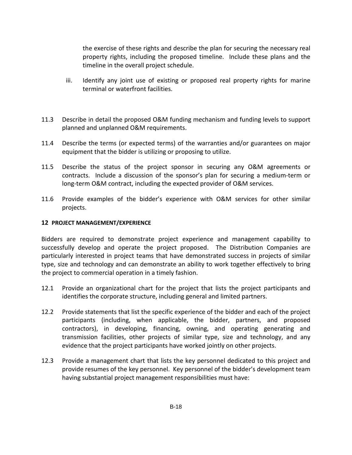the exercise of these rights and describe the plan for securing the necessary real property rights, including the proposed timeline. Include these plans and the timeline in the overall project schedule.

- iii. Identify any joint use of existing or proposed real property rights for marine terminal or waterfront facilities.
- 11.3 Describe in detail the proposed O&M funding mechanism and funding levels to support planned and unplanned O&M requirements.
- 11.4 Describe the terms (or expected terms) of the warranties and/or guarantees on major equipment that the bidder is utilizing or proposing to utilize.
- 11.5 Describe the status of the project sponsor in securing any O&M agreements or contracts. Include a discussion of the sponsor's plan for securing a medium-term or long-term O&M contract, including the expected provider of O&M services.
- 11.6 Provide examples of the bidder's experience with O&M services for other similar projects.

## **12 PROJECT MANAGEMENT/EXPERIENCE**

Bidders are required to demonstrate project experience and management capability to successfully develop and operate the project proposed. The Distribution Companies are particularly interested in project teams that have demonstrated success in projects of similar type, size and technology and can demonstrate an ability to work together effectively to bring the project to commercial operation in a timely fashion.

- 12.1 Provide an organizational chart for the project that lists the project participants and identifies the corporate structure, including general and limited partners.
- 12.2 Provide statements that list the specific experience of the bidder and each of the project participants (including, when applicable, the bidder, partners, and proposed contractors), in developing, financing, owning, and operating generating and transmission facilities, other projects of similar type, size and technology, and any evidence that the project participants have worked jointly on other projects.
- 12.3 Provide a management chart that lists the key personnel dedicated to this project and provide resumes of the key personnel. Key personnel of the bidder's development team having substantial project management responsibilities must have: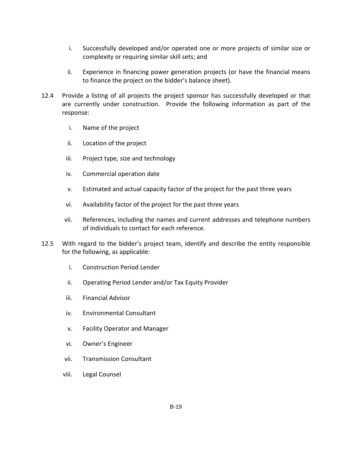- i. Successfully developed and/or operated one or more projects of similar size or complexity or requiring similar skill sets; and
- ii. Experience in financing power generation projects (or have the financial means to finance the project on the bidder's balance sheet).
- 12.4 Provide a listing of all projects the project sponsor has successfully developed or that are currently under construction. Provide the following information as part of the response:
	- i. Name of the project
	- ii. Location of the project
	- iii. Project type, size and technology
	- iv. Commercial operation date
	- v. Estimated and actual capacity factor of the project for the past three years
	- vi. Availability factor of the project for the past three years
	- vii. References, including the names and current addresses and telephone numbers of individuals to contact for each reference.
- 12.5 With regard to the bidder's project team, identify and describe the entity responsible for the following, as applicable:
	- i. Construction Period Lender
	- ii. Operating Period Lender and/or Tax Equity Provider
	- iii. Financial Advisor
	- iv. Environmental Consultant
	- v. Facility Operator and Manager
	- vi. Owner's Engineer
	- vii. Transmission Consultant
	- viii. Legal Counsel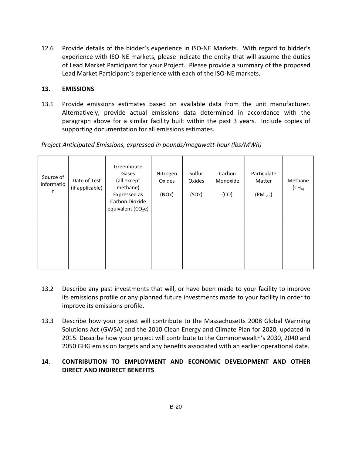12.6 Provide details of the bidder's experience in ISO-NE Markets. With regard to bidder's experience with ISO-NE markets, please indicate the entity that will assume the duties of Lead Market Participant for your Project. Please provide a summary of the proposed Lead Market Participant's experience with each of the ISO-NE markets.

## **13. EMISSIONS**

13.1 Provide emissions estimates based on available data from the unit manufacturer. Alternatively, provide actual emissions data determined in accordance with the paragraph above for a similar facility built within the past 3 years. Include copies of supporting documentation for all emissions estimates.

| Project Anticipated Emissions, expressed in pounds/megawatt-hour (lbs/MWh) |  |  |  |
|----------------------------------------------------------------------------|--|--|--|
|                                                                            |  |  |  |

| Source of<br>Informatio<br>n | Date of Test<br>(if applicable) | Greenhouse<br>Gases<br>(all except<br>methane)<br>Expressed as<br>Carbon Dioxide<br>equivalent (CO <sub>2</sub> e) | Nitrogen<br>Oxides<br>(NOx) | Sulfur<br>Oxides<br>(SOx) | Carbon<br>Monoxide<br>(CO) | Particulate<br>Matter<br>$(PM_{2.5})$ | Methane<br>(CH <sub>4</sub> ) |
|------------------------------|---------------------------------|--------------------------------------------------------------------------------------------------------------------|-----------------------------|---------------------------|----------------------------|---------------------------------------|-------------------------------|
|                              |                                 |                                                                                                                    |                             |                           |                            |                                       |                               |

- 13.2 Describe any past investments that will, or have been made to your facility to improve its emissions profile or any planned future investments made to your facility in order to improve its emissions profile.
- 13.3 Describe how your project will contribute to the Massachusetts 2008 Global Warming Solutions Act (GWSA) and the 2010 Clean Energy and Climate Plan for 2020, updated in 2015. Describe how your project will contribute to the Commonwealth's 2030, 2040 and 2050 GHG emission targets and any benefits associated with an earlier operational date.

# **14**. **CONTRIBUTION TO EMPLOYMENT AND ECONOMIC DEVELOPMENT AND OTHER DIRECT AND INDIRECT BENEFITS**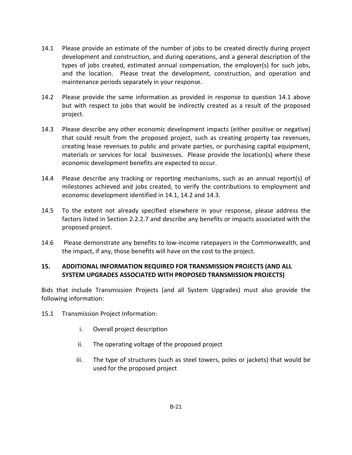- 14.1 Please provide an estimate of the number of jobs to be created directly during project development and construction, and during operations, and a general description of the types of jobs created, estimated annual compensation, the employer(s) for such jobs, and the location. Please treat the development, construction, and operation and maintenance periods separately in your response.
- 14.2 Please provide the same information as provided in response to question 14.1 above but with respect to jobs that would be indirectly created as a result of the proposed project.
- 14.3 Please describe any other economic development impacts (either positive or negative) that could result from the proposed project, such as creating property tax revenues, creating lease revenues to public and private parties, or purchasing capital equipment, materials or services for local businesses. Please provide the location(s) where these economic development benefits are expected to occur.
- 14.4 Please describe any tracking or reporting mechanisms, such as an annual report(s) of milestones achieved and jobs created, to verify the contributions to employment and economic development identified in 14.1, 14.2 and 14.3.
- 14.5 To the extent not already specified elsewhere in your response, please address the factors listed in Section 2.2.2.7 and describe any benefits or impacts associated with the proposed project.
- 14.6 Please demonstrate any benefits to low-income ratepayers in the Commonwealth, and the impact, if any, those benefits will have on the cost to the project.

## **15. ADDITIONAL INFORMATION REQUIRED FOR TRANSMISSION PROJECTS (AND ALL SYSTEM UPGRADES ASSOCIATED WITH PROPOSED TRANSMISSION PROJECTS)**

Bids that include Transmission Projects (and all System Upgrades) must also provide the following information:

- 15.1 Transmission Project Information:
	- i. Overall project description
	- ii. The operating voltage of the proposed project
	- iii. The type of structures (such as steel towers, poles or jackets) that would be used for the proposed project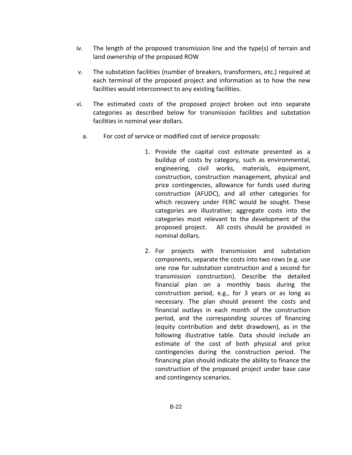- iv. The length of the proposed transmission line and the type(s) of terrain and land ownership of the proposed ROW
- v. The substation facilities (number of breakers, transformers, etc.) required at each terminal of the proposed project and information as to how the new facilities would interconnect to any existing facilities.
- vi. The estimated costs of the proposed project broken out into separate categories as described below for transmission facilities and substation facilities in nominal year dollars.
	- a. For cost of service or modified cost of service proposals:
		- 1. Provide the capital cost estimate presented as a buildup of costs by category, such as environmental, engineering, civil works, materials, equipment, construction, construction management, physical and price contingencies, allowance for funds used during construction (AFUDC), and all other categories for which recovery under FERC would be sought. These categories are illustrative; aggregate costs into the categories most relevant to the development of the proposed project. All costs should be provided in nominal dollars.
		- 2. For projects with transmission and substation components, separate the costs into two rows (e.g. use one row for substation construction and a second for transmission construction). Describe the detailed financial plan on a monthly basis during the construction period, e.g., for 3 years or as long as necessary. The plan should present the costs and financial outlays in each month of the construction period, and the corresponding sources of financing (equity contribution and debt drawdown), as in the following illustrative table. Data should include an estimate of the cost of both physical and price contingencies during the construction period. The financing plan should indicate the ability to finance the construction of the proposed project under base case and contingency scenarios.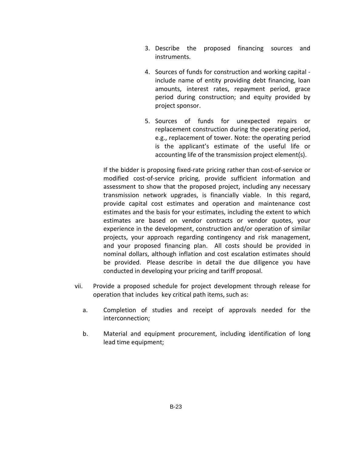- 3. Describe the proposed financing sources and instruments.
- 4. Sources of funds for construction and working capital include name of entity providing debt financing, loan amounts, interest rates, repayment period, grace period during construction; and equity provided by project sponsor.
- 5. Sources of funds for unexpected repairs or replacement construction during the operating period, e.g., replacement of tower. Note: the operating period is the applicant's estimate of the useful life or accounting life of the transmission project element(s).

If the bidder is proposing fixed-rate pricing rather than cost-of-service or modified cost-of-service pricing, provide sufficient information and assessment to show that the proposed project, including any necessary transmission network upgrades, is financially viable. In this regard, provide capital cost estimates and operation and maintenance cost estimates and the basis for your estimates, including the extent to which estimates are based on vendor contracts or vendor quotes, your experience in the development, construction and/or operation of similar projects, your approach regarding contingency and risk management, and your proposed financing plan. All costs should be provided in nominal dollars, although inflation and cost escalation estimates should be provided. Please describe in detail the due diligence you have conducted in developing your pricing and tariff proposal.

- vii. Provide a proposed schedule for project development through release for operation that includes key critical path items, such as:
	- a. Completion of studies and receipt of approvals needed for the interconnection;
	- b. Material and equipment procurement, including identification of long lead time equipment;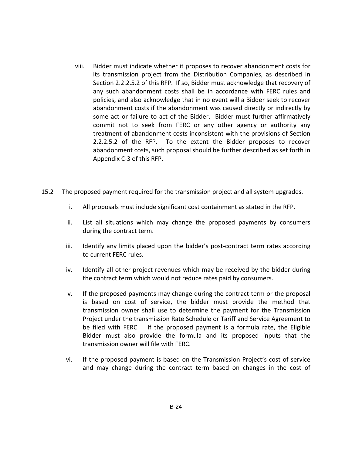- viii. Bidder must indicate whether it proposes to recover abandonment costs for its transmission project from the Distribution Companies, as described in Section 2.2.2.5.2 of this RFP. If so, Bidder must acknowledge that recovery of any such abandonment costs shall be in accordance with FERC rules and policies, and also acknowledge that in no event will a Bidder seek to recover abandonment costs if the abandonment was caused directly or indirectly by some act or failure to act of the Bidder. Bidder must further affirmatively commit not to seek from FERC or any other agency or authority any treatment of abandonment costs inconsistent with the provisions of Section 2.2.2.5.2 of the RFP. To the extent the Bidder proposes to recover abandonment costs, such proposal should be further described as set forth in Appendix C-3 of this RFP.
- 15.2 The proposed payment required for the transmission project and all system upgrades.
	- i. All proposals must include significant cost containment as stated in the RFP.
	- ii. List all situations which may change the proposed payments by consumers during the contract term.
	- iii. Identify any limits placed upon the bidder's post-contract term rates according to current FERC rules.
	- iv. Identify all other project revenues which may be received by the bidder during the contract term which would not reduce rates paid by consumers.
	- v. If the proposed payments may change during the contract term or the proposal is based on cost of service, the bidder must provide the method that transmission owner shall use to determine the payment for the Transmission Project under the transmission Rate Schedule or Tariff and Service Agreement to be filed with FERC. If the proposed payment is a formula rate, the Eligible Bidder must also provide the formula and its proposed inputs that the transmission owner will file with FERC.
	- vi. If the proposed payment is based on the Transmission Project's cost of service and may change during the contract term based on changes in the cost of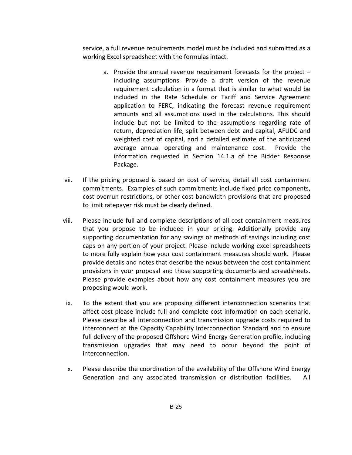service, a full revenue requirements model must be included and submitted as a working Excel spreadsheet with the formulas intact.

- a. Provide the annual revenue requirement forecasts for the project including assumptions. Provide a draft version of the revenue requirement calculation in a format that is similar to what would be included in the Rate Schedule or Tariff and Service Agreement application to FERC, indicating the forecast revenue requirement amounts and all assumptions used in the calculations. This should include but not be limited to the assumptions regarding rate of return, depreciation life, split between debt and capital, AFUDC and weighted cost of capital, and a detailed estimate of the anticipated average annual operating and maintenance cost. Provide the information requested in Section 14.1.a of the Bidder Response Package.
- vii. If the pricing proposed is based on cost of service, detail all cost containment commitments. Examples of such commitments include fixed price components, cost overrun restrictions, or other cost bandwidth provisions that are proposed to limit ratepayer risk must be clearly defined.
- viii. Please include full and complete descriptions of all cost containment measures that you propose to be included in your pricing. Additionally provide any supporting documentation for any savings or methods of savings including cost caps on any portion of your project. Please include working excel spreadsheets to more fully explain how your cost containment measures should work. Please provide details and notes that describe the nexus between the cost containment provisions in your proposal and those supporting documents and spreadsheets. Please provide examples about how any cost containment measures you are proposing would work.
- ix. To the extent that you are proposing different interconnection scenarios that affect cost please include full and complete cost information on each scenario. Please describe all interconnection and transmission upgrade costs required to interconnect at the Capacity Capability Interconnection Standard and to ensure full delivery of the proposed Offshore Wind Energy Generation profile, including transmission upgrades that may need to occur beyond the point of interconnection.
- x. Please describe the coordination of the availability of the Offshore Wind Energy Generation and any associated transmission or distribution facilities. All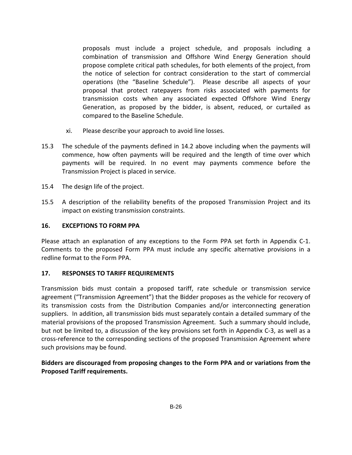proposals must include a project schedule, and proposals including a combination of transmission and Offshore Wind Energy Generation should propose complete critical path schedules, for both elements of the project, from the notice of selection for contract consideration to the start of commercial operations (the "Baseline Schedule"). Please describe all aspects of your proposal that protect ratepayers from risks associated with payments for transmission costs when any associated expected Offshore Wind Energy Generation, as proposed by the bidder, is absent, reduced, or curtailed as compared to the Baseline Schedule.

- xi. Please describe your approach to avoid line losses.
- 15.3 The schedule of the payments defined in 14.2 above including when the payments will commence, how often payments will be required and the length of time over which payments will be required. In no event may payments commence before the Transmission Project is placed in service.
- 15.4 The design life of the project.
- 15.5 A description of the reliability benefits of the proposed Transmission Project and its impact on existing transmission constraints.

## **16. EXCEPTIONS TO FORM PPA**

Please attach an explanation of any exceptions to the Form PPA set forth in Appendix C-1. Comments to the proposed Form PPA must include any specific alternative provisions in a redline format to the Form PPA.

## **17. RESPONSES TO TARIFF REQUIREMENTS**

Transmission bids must contain a proposed tariff, rate schedule or transmission service agreement ("Transmission Agreement") that the Bidder proposes as the vehicle for recovery of its transmission costs from the Distribution Companies and/or interconnecting generation suppliers. In addition, all transmission bids must separately contain a detailed summary of the material provisions of the proposed Transmission Agreement. Such a summary should include, but not be limited to, a discussion of the key provisions set forth in Appendix C-3, as well as a cross-reference to the corresponding sections of the proposed Transmission Agreement where such provisions may be found.

**Bidders are discouraged from proposing changes to the Form PPA and or variations from the Proposed Tariff requirements.**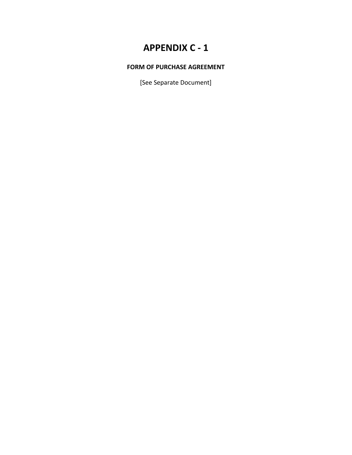# **APPENDIX C - 1**

## **FORM OF PURCHASE AGREEMENT**

[See Separate Document]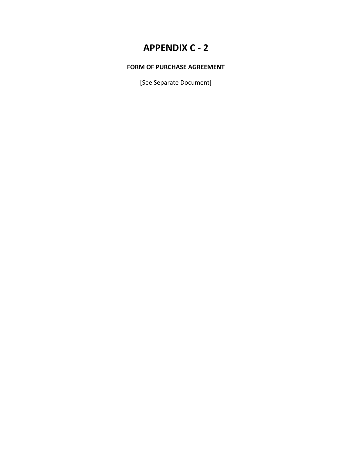# **APPENDIX C - 2**

## **FORM OF PURCHASE AGREEMENT**

[See Separate Document]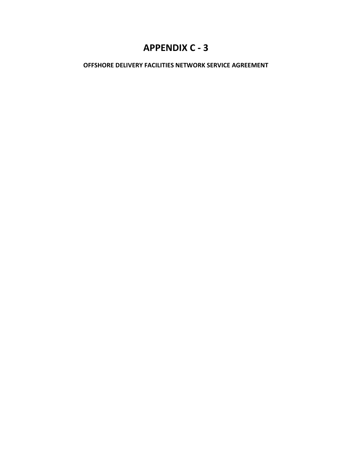# **APPENDIX C - 3**

**OFFSHORE DELIVERY FACILITIES NETWORK SERVICE AGREEMENT**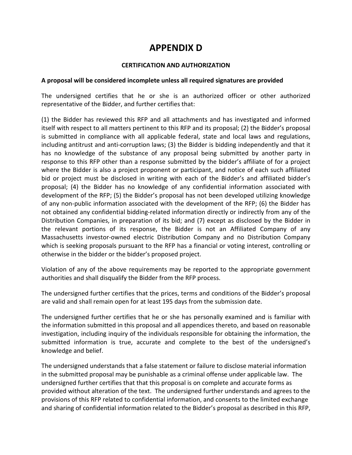# **APPENDIX D**

## **CERTIFICATION AND AUTHORIZATION**

## **A proposal will be considered incomplete unless all required signatures are provided**

The undersigned certifies that he or she is an authorized officer or other authorized representative of the Bidder, and further certifies that:

(1) the Bidder has reviewed this RFP and all attachments and has investigated and informed itself with respect to all matters pertinent to this RFP and its proposal; (2) the Bidder's proposal is submitted in compliance with all applicable federal, state and local laws and regulations, including antitrust and anti-corruption laws; (3) the Bidder is bidding independently and that it has no knowledge of the substance of any proposal being submitted by another party in response to this RFP other than a response submitted by the bidder's affiliate of for a project where the Bidder is also a project proponent or participant, and notice of each such affiliated bid or project must be disclosed in writing with each of the Bidder's and affiliated bidder's proposal; (4) the Bidder has no knowledge of any confidential information associated with development of the RFP; (5) the Bidder's proposal has not been developed utilizing knowledge of any non-public information associated with the development of the RFP; (6) the Bidder has not obtained any confidential bidding-related information directly or indirectly from any of the Distribution Companies, in preparation of its bid; and (7) except as disclosed by the Bidder in the relevant portions of its response, the Bidder is not an Affiliated Company of any Massachusetts investor-owned electric Distribution Company and no Distribution Company which is seeking proposals pursuant to the RFP has a financial or voting interest, controlling or otherwise in the bidder or the bidder's proposed project.

Violation of any of the above requirements may be reported to the appropriate government authorities and shall disqualify the Bidder from the RFP process.

The undersigned further certifies that the prices, terms and conditions of the Bidder's proposal are valid and shall remain open for at least 195 days from the submission date.

The undersigned further certifies that he or she has personally examined and is familiar with the information submitted in this proposal and all appendices thereto, and based on reasonable investigation, including inquiry of the individuals responsible for obtaining the information, the submitted information is true, accurate and complete to the best of the undersigned's knowledge and belief.

The undersigned understands that a false statement or failure to disclose material information in the submitted proposal may be punishable as a criminal offense under applicable law. The undersigned further certifies that that this proposal is on complete and accurate forms as provided without alteration of the text. The undersigned further understands and agrees to the provisions of this RFP related to confidential information, and consents to the limited exchange and sharing of confidential information related to the Bidder's proposal as described in this RFP,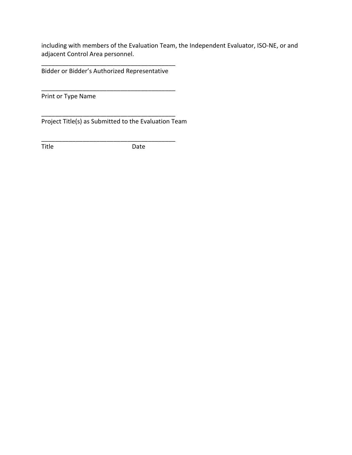including with members of the Evaluation Team, the Independent Evaluator, ISO-NE, or and adjacent Control Area personnel.

\_\_\_\_\_\_\_\_\_\_\_\_\_\_\_\_\_\_\_\_\_\_\_\_\_\_\_\_\_\_\_\_\_\_\_\_\_\_\_ Bidder or Bidder's Authorized Representative

\_\_\_\_\_\_\_\_\_\_\_\_\_\_\_\_\_\_\_\_\_\_\_\_\_\_\_\_\_\_\_\_\_\_\_\_\_\_\_

\_\_\_\_\_\_\_\_\_\_\_\_\_\_\_\_\_\_\_\_\_\_\_\_\_\_\_\_\_\_\_\_\_\_\_\_\_\_\_

\_\_\_\_\_\_\_\_\_\_\_\_\_\_\_\_\_\_\_\_\_\_\_\_\_\_\_\_\_\_\_\_\_\_\_\_\_\_\_

Print or Type Name

Project Title(s) as Submitted to the Evaluation Team

Title Date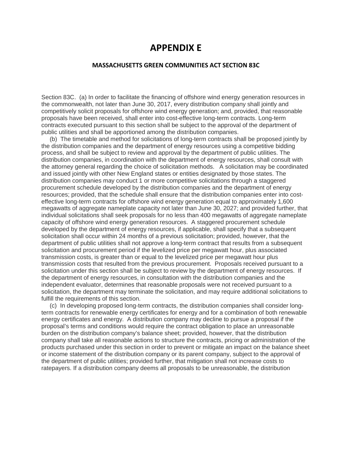## **APPENDIX E**

#### **MASSACHUSETTS GREEN COMMUNITIES ACT SECTION 83C**

Section 83C. (a) In order to facilitate the financing of offshore wind energy generation resources in the commonwealth, not later than June 30, 2017, every distribution company shall jointly and competitively solicit proposals for offshore wind energy generation; and, provided, that reasonable proposals have been received, shall enter into cost-effective long-term contracts. Long-term contracts executed pursuant to this section shall be subject to the approval of the department of public utilities and shall be apportioned among the distribution companies.

 (b) The timetable and method for solicitations of long-term contracts shall be proposed jointly by the distribution companies and the department of energy resources using a competitive bidding process, and shall be subject to review and approval by the department of public utilities. The distribution companies, in coordination with the department of energy resources, shall consult with the attorney general regarding the choice of solicitation methods. A solicitation may be coordinated and issued jointly with other New England states or entities designated by those states. The distribution companies may conduct 1 or more competitive solicitations through a staggered procurement schedule developed by the distribution companies and the department of energy resources; provided, that the schedule shall ensure that the distribution companies enter into costeffective long-term contracts for offshore wind energy generation equal to approximately 1,600 megawatts of aggregate nameplate capacity not later than June 30, 2027; and provided further, that individual solicitations shall seek proposals for no less than 400 megawatts of aggregate nameplate capacity of offshore wind energy generation resources. A staggered procurement schedule developed by the department of energy resources, if applicable, shall specify that a subsequent solicitation shall occur within 24 months of a previous solicitation; provided, however, that the department of public utilities shall not approve a long-term contract that results from a subsequent solicitation and procurement period if the levelized price per megawatt hour, plus associated transmission costs, is greater than or equal to the levelized price per megawatt hour plus transmission costs that resulted from the previous procurement. Proposals received pursuant to a solicitation under this section shall be subject to review by the department of energy resources. If the department of energy resources, in consultation with the distribution companies and the independent evaluator, determines that reasonable proposals were not received pursuant to a solicitation, the department may terminate the solicitation, and may require additional solicitations to fulfill the requirements of this section.

 (c) In developing proposed long-term contracts, the distribution companies shall consider longterm contracts for renewable energy certificates for energy and for a combination of both renewable energy certificates and energy. A distribution company may decline to pursue a proposal if the proposal's terms and conditions would require the contract obligation to place an unreasonable burden on the distribution company's balance sheet; provided, however, that the distribution company shall take all reasonable actions to structure the contracts, pricing or administration of the products purchased under this section in order to prevent or mitigate an impact on the balance sheet or income statement of the distribution company or its parent company, subject to the approval of the department of public utilities; provided further, that mitigation shall not increase costs to ratepayers. If a distribution company deems all proposals to be unreasonable, the distribution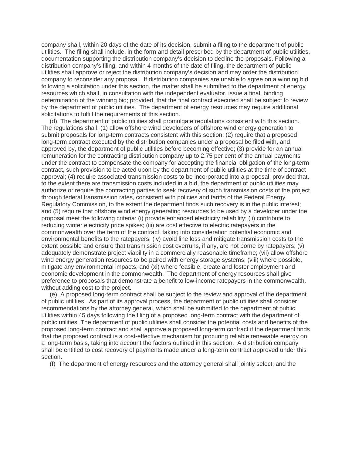company shall, within 20 days of the date of its decision, submit a filing to the department of public utilities. The filing shall include, in the form and detail prescribed by the department of public utilities, documentation supporting the distribution company's decision to decline the proposals. Following a distribution company's filing, and within 4 months of the date of filing, the department of public utilities shall approve or reject the distribution company's decision and may order the distribution company to reconsider any proposal. If distribution companies are unable to agree on a winning bid following a solicitation under this section, the matter shall be submitted to the department of energy resources which shall, in consultation with the independent evaluator, issue a final, binding determination of the winning bid; provided, that the final contract executed shall be subject to review by the department of public utilities. The department of energy resources may require additional solicitations to fulfill the requirements of this section.

 (d) The department of public utilities shall promulgate regulations consistent with this section. The regulations shall: (1) allow offshore wind developers of offshore wind energy generation to submit proposals for long-term contracts consistent with this section; (2) require that a proposed long-term contract executed by the distribution companies under a proposal be filed with, and approved by, the department of public utilities before becoming effective; (3) provide for an annual remuneration for the contracting distribution company up to 2.75 per cent of the annual payments under the contract to compensate the company for accepting the financial obligation of the long-term contract, such provision to be acted upon by the department of public utilities at the time of contract approval; (4) require associated transmission costs to be incorporated into a proposal; provided that, to the extent there are transmission costs included in a bid, the department of public utilities may authorize or require the contracting parties to seek recovery of such transmission costs of the project through federal transmission rates, consistent with policies and tariffs of the Federal Energy Regulatory Commission, to the extent the department finds such recovery is in the public interest; and (5) require that offshore wind energy generating resources to be used by a developer under the proposal meet the following criteria: (i) provide enhanced electricity reliability; (ii) contribute to reducing winter electricity price spikes; (iii) are cost effective to electric ratepayers in the commonwealth over the term of the contract, taking into consideration potential economic and environmental benefits to the ratepayers; (iv) avoid line loss and mitigate transmission costs to the extent possible and ensure that transmission cost overruns, if any, are not borne by ratepayers; (v) adequately demonstrate project viability in a commercially reasonable timeframe; (vii) allow offshore wind energy generation resources to be paired with energy storage systems; (viii) where possible, mitigate any environmental impacts; and (xi) where feasible, create and foster employment and economic development in the commonwealth. The department of energy resources shall give preference to proposals that demonstrate a benefit to low-income ratepayers in the commonwealth, without adding cost to the project.

 (e) A proposed long-term contract shall be subject to the review and approval of the department of public utilities. As part of its approval process, the department of public utilities shall consider recommendations by the attorney general, which shall be submitted to the department of public utilities within 45 days following the filing of a proposed long-term contract with the department of public utilities. The department of public utilities shall consider the potential costs and benefits of the proposed long-term contract and shall approve a proposed long-term contract if the department finds that the proposed contract is a cost-effective mechanism for procuring reliable renewable energy on a long-term basis, taking into account the factors outlined in this section. A distribution company shall be entitled to cost recovery of payments made under a long-term contract approved under this section.

(f) The department of energy resources and the attorney general shall jointly select, and the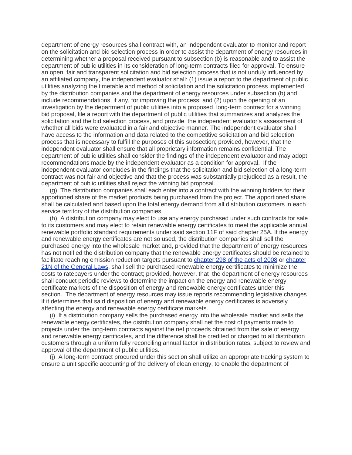department of energy resources shall contract with, an independent evaluator to monitor and report on the solicitation and bid selection process in order to assist the department of energy resources in determining whether a proposal received pursuant to subsection (b) is reasonable and to assist the department of public utilities in its consideration of long-term contracts filed for approval. To ensure an open, fair and transparent solicitation and bid selection process that is not unduly influenced by an affiliated company, the independent evaluator shall: (1) issue a report to the department of public utilities analyzing the timetable and method of solicitation and the solicitation process implemented by the distribution companies and the department of energy resources under subsection (b) and include recommendations, if any, for improving the process; and (2) upon the opening of an investigation by the department of public utilities into a proposed long-term contract for a winning bid proposal, file a report with the department of public utilities that summarizes and analyzes the solicitation and the bid selection process, and provide the independent evaluator's assessment of whether all bids were evaluated in a fair and objective manner. The independent evaluator shall have access to the information and data related to the competitive solicitation and bid selection process that is necessary to fulfill the purposes of this subsection; provided, however, that the independent evaluator shall ensure that all proprietary information remains confidential. The department of public utilities shall consider the findings of the independent evaluator and may adopt recommendations made by the independent evaluator as a condition for approval. If the independent evaluator concludes in the findings that the solicitation and bid selection of a long-term contract was not fair and objective and that the process was substantially prejudiced as a result, the department of public utilities shall reject the winning bid proposal.

 (g) The distribution companies shall each enter into a contract with the winning bidders for their apportioned share of the market products being purchased from the project. The apportioned share shall be calculated and based upon the total energy demand from all distribution customers in each service territory of the distribution companies.

 (h) A distribution company may elect to use any energy purchased under such contracts for sale to its customers and may elect to retain renewable energy certificates to meet the applicable annual renewable portfolio standard requirements under said section 11F of said chapter 25A. If the energy and renewable energy certificates are not so used, the distribution companies shall sell the purchased energy into the wholesale market and, provided that the department of energy resources has not notified the distribution company that the renewable energy certificates should be retained to facilitate reaching emission reduction targets pursuant to [chapter 298 of the acts of 2008](https://malegislature.gov/Laws/SessionLaws/Acts/2008/Chapter298) or [chapter](https://malegislature.gov/Laws/GeneralLaws/PartI/TitleII/Chapter21N)  [21N of the General Laws,](https://malegislature.gov/Laws/GeneralLaws/PartI/TitleII/Chapter21N) shall sell the purchased renewable energy certificates to minimize the costs to ratepayers under the contract; provided, however, that the department of energy resources shall conduct periodic reviews to determine the impact on the energy and renewable energy certificate markets of the disposition of energy and renewable energy certificates under this section. The department of energy resources may issue reports recommending legislative changes if it determines that said disposition of energy and renewable energy certificates is adversely affecting the energy and renewable energy certificate markets.

 (i) If a distribution company sells the purchased energy into the wholesale market and sells the renewable energy certificates, the distribution company shall net the cost of payments made to projects under the long-term contracts against the net proceeds obtained from the sale of energy and renewable energy certificates, and the difference shall be credited or charged to all distribution customers through a uniform fully reconciling annual factor in distribution rates, subject to review and approval of the department of public utilities.

 (j) A long-term contract procured under this section shall utilize an appropriate tracking system to ensure a unit specific accounting of the delivery of clean energy, to enable the department of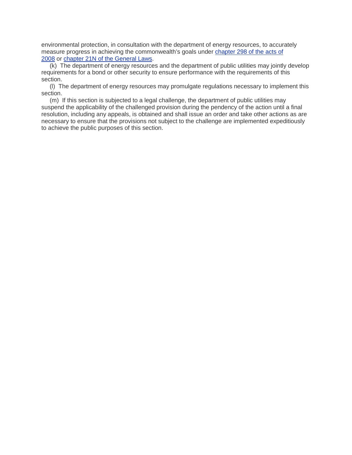environmental protection, in consultation with the department of energy resources, to accurately measure progress in achieving the commonwealth's goals under [chapter 298 of the acts of](https://malegislature.gov/Laws/SessionLaws/Acts/2008/Chapter298)  [2008](https://malegislature.gov/Laws/SessionLaws/Acts/2008/Chapter298) or [chapter 21N of the General Laws.](https://malegislature.gov/Laws/GeneralLaws/PartI/TitleII/Chapter21N)

 (k) The department of energy resources and the department of public utilities may jointly develop requirements for a bond or other security to ensure performance with the requirements of this section.

 (l) The department of energy resources may promulgate regulations necessary to implement this section.

 (m) If this section is subjected to a legal challenge, the department of public utilities may suspend the applicability of the challenged provision during the pendency of the action until a final resolution, including any appeals, is obtained and shall issue an order and take other actions as are necessary to ensure that the provisions not subject to the challenge are implemented expeditiously to achieve the public purposes of this section.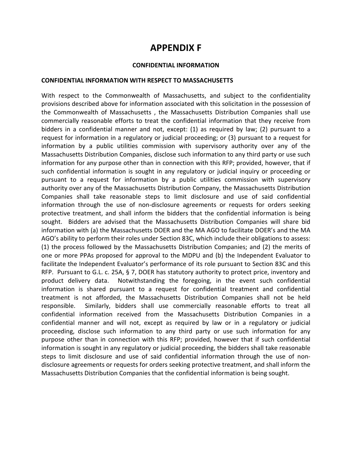## **APPENDIX F**

#### **CONFIDENTIAL INFORMATION**

#### **CONFIDENTIAL INFORMATION WITH RESPECT TO MASSACHUSETTS**

With respect to the Commonwealth of Massachusetts, and subject to the confidentiality provisions described above for information associated with this solicitation in the possession of the Commonwealth of Massachusetts , the Massachusetts Distribution Companies shall use commercially reasonable efforts to treat the confidential information that they receive from bidders in a confidential manner and not, except: (1) as required by law; (2) pursuant to a request for information in a regulatory or judicial proceeding; or (3) pursuant to a request for information by a public utilities commission with supervisory authority over any of the Massachusetts Distribution Companies, disclose such information to any third party or use such information for any purpose other than in connection with this RFP; provided, however, that if such confidential information is sought in any regulatory or judicial inquiry or proceeding or pursuant to a request for information by a public utilities commission with supervisory authority over any of the Massachusetts Distribution Company, the Massachusetts Distribution Companies shall take reasonable steps to limit disclosure and use of said confidential information through the use of non-disclosure agreements or requests for orders seeking protective treatment, and shall inform the bidders that the confidential information is being sought. Bidders are advised that the Massachusetts Distribution Companies will share bid information with (a) the Massachusetts DOER and the MA AGO to facilitate DOER's and the MA AGO's ability to perform their roles under Section 83C, which include their obligations to assess: (1) the process followed by the Massachusetts Distribution Companies; and (2) the merits of one or more PPAs proposed for approval to the MDPU and (b) the Independent Evaluator to facilitate the Independent Evaluator's performance of its role pursuant to Section 83C and this RFP. Pursuant to G.L. c. 25A, § 7, DOER has statutory authority to protect price, inventory and product delivery data. Notwithstanding the foregoing, in the event such confidential information is shared pursuant to a request for confidential treatment and confidential treatment is not afforded, the Massachusetts Distribution Companies shall not be held responsible. Similarly, bidders shall use commercially reasonable efforts to treat all confidential information received from the Massachusetts Distribution Companies in a confidential manner and will not, except as required by law or in a regulatory or judicial proceeding, disclose such information to any third party or use such information for any purpose other than in connection with this RFP; provided, however that if such confidential information is sought in any regulatory or judicial proceeding, the bidders shall take reasonable steps to limit disclosure and use of said confidential information through the use of nondisclosure agreements or requests for orders seeking protective treatment, and shall inform the Massachusetts Distribution Companies that the confidential information is being sought.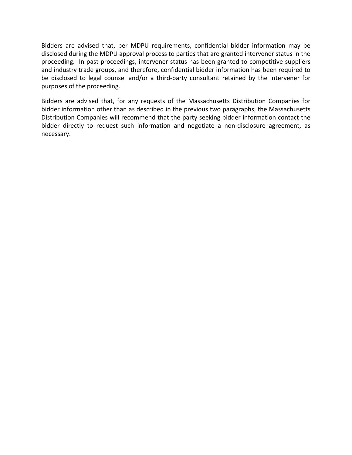Bidders are advised that, per MDPU requirements, confidential bidder information may be disclosed during the MDPU approval process to parties that are granted intervener status in the proceeding. In past proceedings, intervener status has been granted to competitive suppliers and industry trade groups, and therefore, confidential bidder information has been required to be disclosed to legal counsel and/or a third-party consultant retained by the intervener for purposes of the proceeding.

Bidders are advised that, for any requests of the Massachusetts Distribution Companies for bidder information other than as described in the previous two paragraphs, the Massachusetts Distribution Companies will recommend that the party seeking bidder information contact the bidder directly to request such information and negotiate a non-disclosure agreement, as necessary.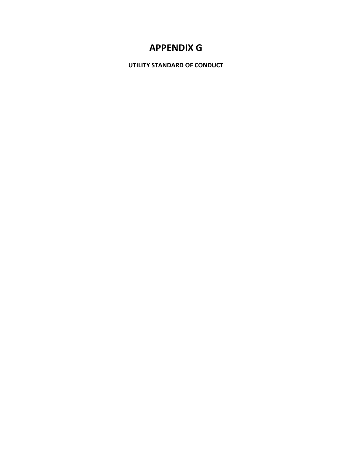# **APPENDIX G**

**UTILITY STANDARD OF CONDUCT**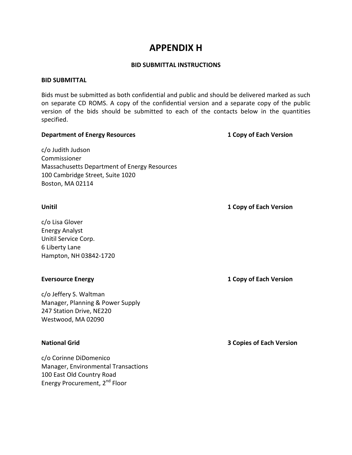## **APPENDIX H**

## **BID SUBMITTAL INSTRUCTIONS**

## **BID SUBMITTAL**

Bids must be submitted as both confidential and public and should be delivered marked as such on separate CD ROMS. A copy of the confidential version and a separate copy of the public version of the bids should be submitted to each of the contacts below in the quantities specified.

# **Department of Energy Resources 1 Copy of Each Version**  c/o Judith Judson Commissioner Massachusetts Department of Energy Resources 100 Cambridge Street, Suite 1020 Boston, MA 02114 **Unitil 1 Copy of Each Version** c/o Lisa Glover Energy Analyst Unitil Service Corp. 6 Liberty Lane Hampton, NH 03842-1720 **Eversource Energy 1 Copy of Each Version** c/o Jeffery S. Waltman Manager, Planning & Power Supply 247 Station Drive, NE220 Westwood, MA 02090

c/o Corinne DiDomenico Manager, Environmental Transactions 100 East Old Country Road Energy Procurement, 2<sup>nd</sup> Floor

**National Grid 3 Copies of Each Version**